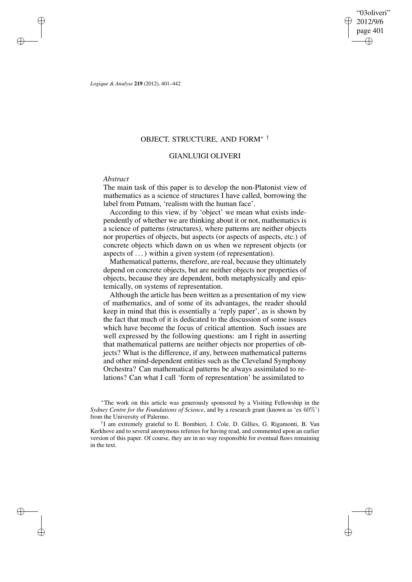"03oliveri" 2012/9/6 page 401 ✐ ✐

✐

✐

*Logique & Analyse* **219** (2012), 401–442

# OBJECT, STRUCTURE, AND FORM<sup>∗</sup> †

### GIANLUIGI OLIVERI

### *Abstract*

 $\rightarrow$ 

 $\rightarrow$ 

✐

✐

The main task of this paper is to develop the non-Platonist view of mathematics as a science of structures I have called, borrowing the label from Putnam, 'realism with the human face'.

According to this view, if by 'object' we mean what exists independently of whether we are thinking about it or not, mathematics is a science of patterns (structures), where patterns are neither objects nor properties of objects, but aspects (or aspects of aspects, etc.) of concrete objects which dawn on us when we represent objects (or aspects of . . .) within a given system (of representation).

Mathematical patterns, therefore, are real, because they ultimately depend on concrete objects, but are neither objects nor properties of objects, because they are dependent, both metaphysically and epistemically, on systems of representation.

Although the article has been written as a presentation of my view of mathematics, and of some of its advantages, the reader should keep in mind that this is essentially a 'reply paper', as is shown by the fact that much of it is dedicated to the discussion of some issues which have become the focus of critical attention. Such issues are well expressed by the following questions: am I right in asserting that mathematical patterns are neither objects nor properties of objects? What is the difference, if any, between mathematical patterns and other mind-dependent entities such as the Cleveland Symphony Orchestra? Can mathematical patterns be always assimilated to relations? Can what I call 'form of representation' be assimilated to

<sup>∗</sup>The work on this article was generously sponsored by a Visiting Fellowship in the *Sydney Centre for the Foundations of Science*, and by a research grant (known as 'ex 60%') from the University of Palermo.

<sup>†</sup> I am extremely grateful to E. Bombieri, J. Cole, D. Gillies, G. Rigamonti, B. Van Kerkhove and to several anonymous referees for having read, and commented upon an earlier version of this paper. Of course, they are in no way responsible for eventual flaws remaining in the text.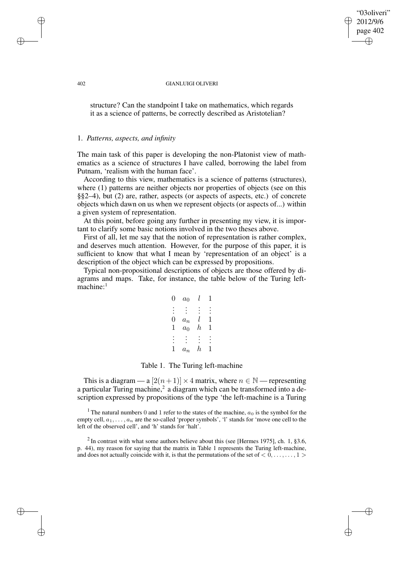#### 402 GIANLUIGI OLIVERI

"03oliveri" 2012/9/6 page 402

✐

✐

✐

✐

structure? Can the standpoint I take on mathematics, which regards it as a science of patterns, be correctly described as Aristotelian?

### 1. *Patterns, aspects, and infinity*

The main task of this paper is developing the non-Platonist view of mathematics as a science of structures I have called, borrowing the label from Putnam, 'realism with the human face'.

According to this view, mathematics is a science of patterns (structures), where (1) patterns are neither objects nor properties of objects (see on this §§2–4), but (2) are, rather, aspects (or aspects of aspects, etc.) of concrete objects which dawn on us when we represent objects (or aspects of...) within a given system of representation.

At this point, before going any further in presenting my view, it is important to clarify some basic notions involved in the two theses above.

First of all, let me say that the notion of representation is rather complex, and deserves much attention. However, for the purpose of this paper, it is sufficient to know that what I mean by 'representation of an object' is a description of the object which can be expressed by propositions.

Typical non-propositional descriptions of objects are those offered by diagrams and maps. Take, for instance, the table below of the Turing left $machine:$ <sup>1</sup>

$$
\begin{array}{cccccc}\n0 & a_0 & l & 1 \\
\vdots & \vdots & \vdots & \vdots \\
0 & a_n & l & 1 \\
1 & a_0 & h & 1 \\
\vdots & \vdots & \vdots & \vdots \\
1 & a_n & h & 1\n\end{array}
$$

### Table 1. The Turing left-machine

This is a diagram — a  $[2(n+1)] \times 4$  matrix, where  $n \in \mathbb{N}$  — representing a particular Turing machine, $^2$  a diagram which can be transformed into a description expressed by propositions of the type 'the left-machine is a Turing

<sup>1</sup> The natural numbers 0 and 1 refer to the states of the machine,  $a_0$  is the symbol for the empty cell,  $a_1, \ldots, a_n$  are the so-called 'proper symbols', 'l' stands for 'move one cell to the left of the observed cell', and 'h' stands for 'halt'.

 $2 \text{ In contrast with what some authors believe about this (see [Hermes 1975], ch. 1, §3.6, }$ p. 44), my reason for saying that the matrix in Table 1 represents the Turing left-machine, and does not actually coincide with it, is that the permutations of the set of  $< 0, \ldots, \ldots, 1 >$ 

 $\rightarrow$ 

 $\rightarrow$ 

✐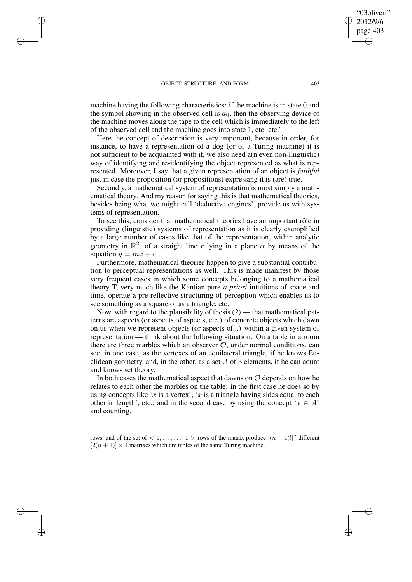$\rightarrow$ 

 $\rightarrow$ 

✐

✐

machine having the following characteristics: if the machine is in state 0 and the symbol showing in the observed cell is  $a<sub>0</sub>$ , then the observing device of the machine moves along the tape to the cell which is immediately to the left of the observed cell and the machine goes into state 1, etc. etc.'

Here the concept of description is very important, because in order, for instance, to have a representation of a dog (or of a Turing machine) it is not sufficient to be acquainted with it, we also need a(n even non-linguistic) way of identifying and re-identifying the object represented as what is represented. Moreover, I say that a given representation of an object is *faithful* just in case the proposition (or propositions) expressing it is (are) true.

Secondly, a mathematical system of representation is most simply a mathematical theory. And my reason for saying this is that mathematical theories, besides being what we might call 'deductive engines', provide us with systems of representation.

To see this, consider that mathematical theories have an important rôle in providing (linguistic) systems of representation as it is clearly exemplified by a large number of cases like that of the representation, within analytic geometry in  $\mathbb{R}^2$ , of a straight line r lying in a plane  $\alpha$  by means of the equation  $y = mx + c$ .

Furthermore, mathematical theories happen to give a substantial contribution to perceptual representations as well. This is made manifest by those very frequent cases in which some concepts belonging to a mathematical theory T, very much like the Kantian pure *a priori* intuitions of space and time, operate a pre-reflective structuring of perception which enables us to see something as a square or as a triangle, etc.

Now, with regard to the plausibility of thesis  $(2)$  — that mathematical patterns are aspects (or aspects of aspects, etc.) of concrete objects which dawn on us when we represent objects (or aspects of...) within a given system of representation — think about the following situation. On a table in a room there are three marbles which an observer  $\mathcal{O}$ , under normal conditions, can see, in one case, as the vertexes of an equilateral triangle, if he knows Euclidean geometry, and, in the other, as a set  $A$  of 3 elements, if he can count and knows set theory.

In both cases the mathematical aspect that dawns on  $\mathcal O$  depends on how he relates to each other the marbles on the table: in the first case he does so by using concepts like 'x is a vertex', 'x is a triangle having sides equal to each other in length', etc.; and in the second case by using the concept ' $x \in A$ ' and counting.

rows, and of the set of  $\langle 1, \ldots, \ldots, 1 \rangle$  rows of the matrix produce  $[(n+1)!]^2$  different  $[2(n+1)] \times 4$  matrixes which are tables of the same Turing machine.

"03oliveri" 2012/9/6 page 403

✐

✐

✐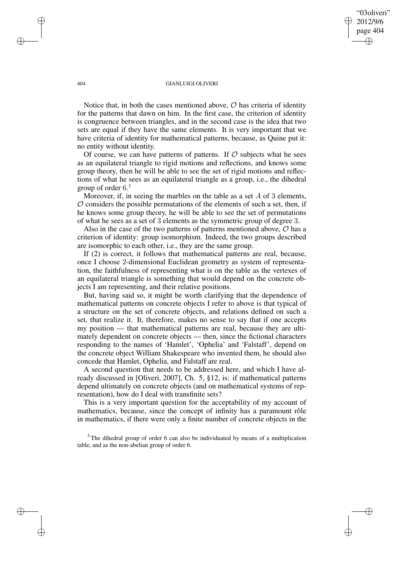# "03oliveri" 2012/9/6 page 404 ✐ ✐

✐

✐

### 404 GIANLUIGI OLIVERI

Notice that, in both the cases mentioned above,  $\mathcal O$  has criteria of identity for the patterns that dawn on him. In the first case, the criterion of identity is congruence between triangles, and in the second case is the idea that two sets are equal if they have the same elements. It is very important that we have criteria of identity for mathematical patterns, because, as Quine put it: no entity without identity.

Of course, we can have patterns of patterns. If  $\mathcal O$  subjects what he sees as an equilateral triangle to rigid motions and reflections, and knows some group theory, then he will be able to see the set of rigid motions and reflections of what he sees as an equilateral triangle as a group, i.e., the dihedral group of order 6. 3

Moreover, if, in seeing the marbles on the table as a set  $A$  of 3 elements,  $\mathcal O$  considers the possible permutations of the elements of such a set, then, if he knows some group theory, he will be able to see the set of permutations of what he sees as a set of 3 elements as the symmetric group of degree 3.

Also in the case of the two patterns of patterns mentioned above,  $\mathcal O$  has a criterion of identity: group isomorphism. Indeed, the two groups described are isomorphic to each other, i.e., they are the same group.

If (2) is correct, it follows that mathematical patterns are real, because, once I choose 2-dimensional Euclidean geometry as system of representation, the faithfulness of representing what is on the table as the vertexes of an equilateral triangle is something that would depend on the concrete objects I am representing, and their relative positions.

But, having said so, it might be worth clarifying that the dependence of mathematical patterns on concrete objects I refer to above is that typical of a structure on the set of concrete objects, and relations defined on such a set, that realize it. It, therefore, makes no sense to say that if one accepts my position — that mathematical patterns are real, because they are ultimately dependent on concrete objects — then, since the fictional characters responding to the names of 'Hamlet', 'Ophelia' and 'Falstaff', depend on the concrete object William Shakespeare who invented them, he should also concede that Hamlet, Ophelia, and Falstaff are real.

A second question that needs to be addressed here, and which I have already discussed in [Oliveri, 2007], Ch. 5, §12, is: if mathematical patterns depend ultimately on concrete objects (and on mathematical systems of representation), how do I deal with transfinite sets?

This is a very important question for the acceptability of my account of mathematics, because, since the concept of infinity has a paramount rôle in mathematics, if there were only a finite number of concrete objects in the

<sup>3</sup> The dihedral group of order 6 can also be individuated by means of a multiplication table, and as the non-abelian group of order 6.

 $\rightarrow$ 

 $\rightarrow$ 

✐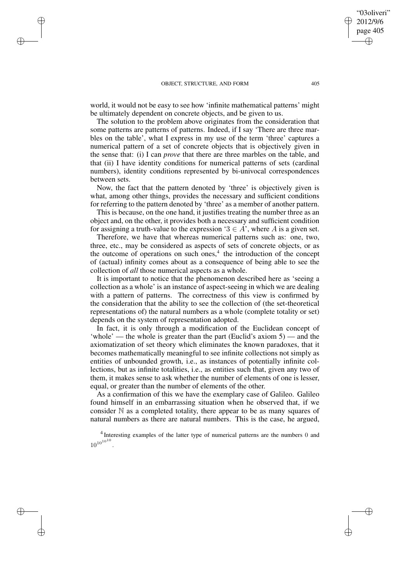$\rightarrow$ 

 $\rightarrow$ 

✐

✐

world, it would not be easy to see how 'infinite mathematical patterns' might be ultimately dependent on concrete objects, and be given to us.

The solution to the problem above originates from the consideration that some patterns are patterns of patterns. Indeed, if I say 'There are three marbles on the table', what I express in my use of the term 'three' captures a numerical pattern of a set of concrete objects that is objectively given in the sense that: (i) I can *prove* that there are three marbles on the table, and that (ii) I have identity conditions for numerical patterns of sets (cardinal numbers), identity conditions represented by bi-univocal correspondences between sets.

Now, the fact that the pattern denoted by 'three' is objectively given is what, among other things, provides the necessary and sufficient conditions for referring to the pattern denoted by 'three' as a member of another pattern.

This is because, on the one hand, it justifies treating the number three as an object and, on the other, it provides both a necessary and sufficient condition for assigning a truth-value to the expression '3  $\in$  A', where A is a given set.

Therefore, we have that whereas numerical patterns such as: one, two, three, etc., may be considered as aspects of sets of concrete objects, or as the outcome of operations on such ones, $4$  the introduction of the concept of (actual) infinity comes about as a consequence of being able to see the collection of *all* those numerical aspects as a whole.

It is important to notice that the phenomenon described here as 'seeing a collection as a whole' is an instance of aspect-seeing in which we are dealing with a pattern of patterns. The correctness of this view is confirmed by the consideration that the ability to see the collection of (the set-theoretical representations of) the natural numbers as a whole (complete totality or set) depends on the system of representation adopted.

In fact, it is only through a modification of the Euclidean concept of 'whole' — the whole is greater than the part (Euclid's axiom 5) — and the axiomatization of set theory which eliminates the known paradoxes, that it becomes mathematically meaningful to see infinite collections not simply as entities of unbounded growth, i.e., as instances of potentially infinite collections, but as infinite totalities, i.e., as entities such that, given any two of them, it makes sense to ask whether the number of elements of one is lesser, equal, or greater than the number of elements of the other.

As a confirmation of this we have the exemplary case of Galileo. Galileo found himself in an embarrassing situation when he observed that, if we consider  $\mathbb N$  as a completed totality, there appear to be as many squares of natural numbers as there are natural numbers. This is the case, he argued,

<sup>4</sup> Interesting examples of the latter type of numerical patterns are the numbers 0 and  $10^{10^{10}}$ .

"03oliveri" 2012/9/6 page 405

✐

✐

✐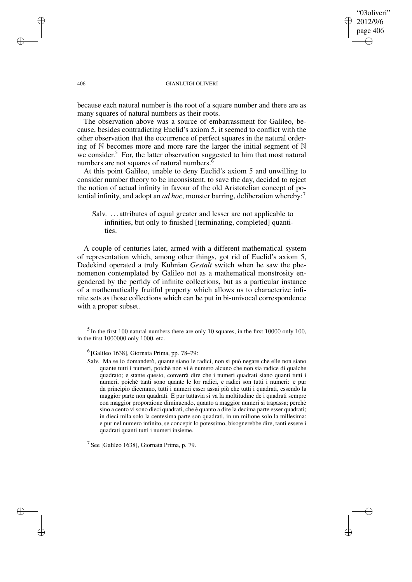### "03oliveri" 2012/9/6 page 406 ✐ ✐

✐

✐

### 406 GIANLUIGI OLIVERI

because each natural number is the root of a square number and there are as many squares of natural numbers as their roots.

The observation above was a source of embarrassment for Galileo, because, besides contradicting Euclid's axiom 5, it seemed to conflict with the other observation that the occurrence of perfect squares in the natural ordering of  $\mathbb N$  becomes more and more rare the larger the initial segment of  $\mathbb N$ we consider.<sup>5</sup> For, the latter observation suggested to him that most natural numbers are not squares of natural numbers.<sup>6</sup>

At this point Galileo, unable to deny Euclid's axiom 5 and unwilling to consider number theory to be inconsistent, to save the day, decided to reject the notion of actual infinity in favour of the old Aristotelian concept of potential infinity, and adopt an *ad hoc*, monster barring, deliberation whereby:<sup>7</sup>

# Salv. . . . attributes of equal greater and lesser are not applicable to infinities, but only to finished [terminating, completed] quantities.

A couple of centuries later, armed with a different mathematical system of representation which, among other things, got rid of Euclid's axiom 5, Dedekind operated a truly Kuhnian *Gestalt* switch when he saw the phenomenon contemplated by Galileo not as a mathematical monstrosity engendered by the perfidy of infinite collections, but as a particular instance of a mathematically fruitful property which allows us to characterize infinite sets as those collections which can be put in bi-univocal correspondence with a proper subset.

 $<sup>5</sup>$  In the first 100 natural numbers there are only 10 squares, in the first 10000 only 100,</sup> in the first 1000000 only 1000, etc.

6 [Galileo 1638], Giornata Prima, pp. 78–79:

Salv. Ma se io domanderò, quante siano le radici, non si può negare che elle non siano quante tutti i numeri, poichè non vi è numero alcuno che non sia radice di qualche quadrato; e stante questo, converrà dire che i numeri quadrati siano quanti tutti i numeri, poichè tanti sono quante le lor radici, e radici son tutti i numeri: e pur da principio dicemmo, tutti i numeri esser assai più che tutti i quadrati, essendo la maggior parte non quadrati. E pur tuttavia si va la moltitudine de i quadrati sempre con maggior proporzione diminuendo, quanto a maggior numeri si trapassa; perchè sino a cento vi sono dieci quadrati, che è quanto a dire la decima parte esser quadrati; in dieci mila solo la centesima parte son quadrati, in un milione solo la millesima: e pur nel numero infinito, se concepir lo potessimo, bisognerebbe dire, tanti essere i quadrati quanti tutti i numeri insieme.

<sup>7</sup> See [Galileo 1638], Giornata Prima, p. 79.

 $\rightarrow$ 

 $\rightarrow$ 

✐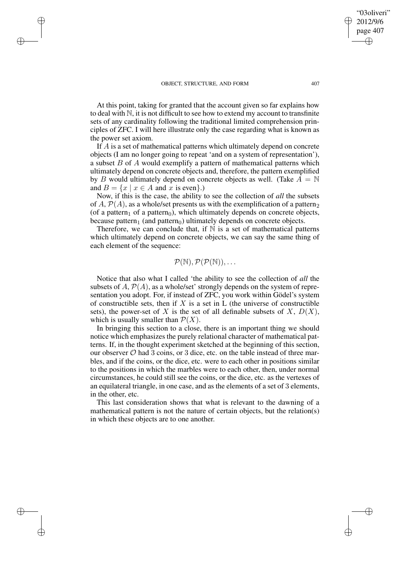$\rightarrow$ 

 $\rightarrow$ 

✐

✐

At this point, taking for granted that the account given so far explains how to deal with N, it is not difficult to see how to extend my account to transfinite sets of any cardinality following the traditional limited comprehension principles of ZFC. I will here illustrate only the case regarding what is known as the power set axiom.

If A is a set of mathematical patterns which ultimately depend on concrete objects (I am no longer going to repeat 'and on a system of representation'), a subset  $B$  of  $A$  would exemplify a pattern of mathematical patterns which ultimately depend on concrete objects and, therefore, the pattern exemplified by B would ultimately depend on concrete objects as well. (Take  $A = \mathbb{N}$ and  $B = \{x \mid x \in A \text{ and } x \text{ is even}\}.$ 

Now, if this is the case, the ability to see the collection of *all* the subsets of A,  $\mathcal{P}(A)$ , as a whole/set presents us with the exemplification of a pattern<sub>2</sub> (of a pattern<sub>1</sub> of a pattern<sub>0</sub>), which ultimately depends on concrete objects, because pattern<sub>1</sub> (and pattern<sub>0</sub>) ultimately depends on concrete objects.

Therefore, we can conclude that, if  $N$  is a set of mathematical patterns which ultimately depend on concrete objects, we can say the same thing of each element of the sequence:

 $\mathcal{P}(\mathbb{N}), \mathcal{P}(\mathcal{P}(\mathbb{N})), \dots$ 

Notice that also what I called 'the ability to see the collection of *all* the subsets of A,  $\mathcal{P}(A)$ , as a whole/set' strongly depends on the system of representation you adopt. For, if instead of ZFC, you work within Gödel's system of constructible sets, then if  $X$  is a set in  $L$  (the universe of constructible sets), the power-set of X is the set of all definable subsets of X,  $D(X)$ , which is usually smaller than  $\mathcal{P}(X)$ .

In bringing this section to a close, there is an important thing we should notice which emphasizes the purely relational character of mathematical patterns. If, in the thought experiment sketched at the beginning of this section, our observer  $\mathcal O$  had 3 coins, or 3 dice, etc. on the table instead of three marbles, and if the coins, or the dice, etc. were to each other in positions similar to the positions in which the marbles were to each other, then, under normal circumstances, he could still see the coins, or the dice, etc. as the vertexes of an equilateral triangle, in one case, and as the elements of a set of 3 elements, in the other, etc.

This last consideration shows that what is relevant to the dawning of a mathematical pattern is not the nature of certain objects, but the relation(s) in which these objects are to one another.

"03oliveri" 2012/9/6 page 407

✐

✐

✐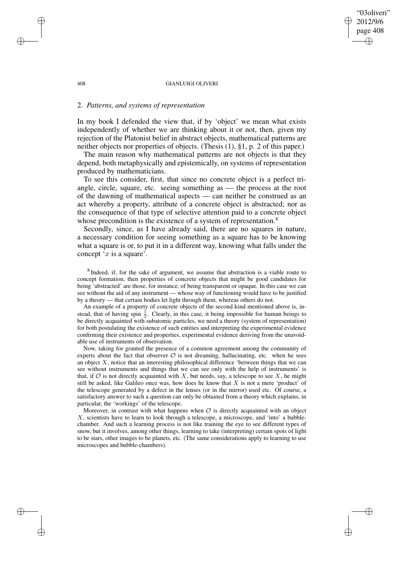#### 408 GIANLUIGI OLIVERI

"03oliveri" 2012/9/6 page 408

✐

✐

✐

✐

# 2. *Patterns, and systems of representation*

In my book I defended the view that, if by 'object' we mean what exists independently of whether we are thinking about it or not, then, given my rejection of the Platonist belief in abstract objects, mathematical patterns are neither objects nor properties of objects. (Thesis (1), §1, p. 2 of this paper.)

The main reason why mathematical patterns are not objects is that they depend, both metaphysically and epistemically, on systems of representation produced by mathematicians.

To see this consider, first, that since no concrete object is a perfect triangle, circle, square, etc. seeing something as — the process at the root of the dawning of mathematical aspects — can neither be construed as an act whereby a property, attribute of a concrete object is abstracted; nor as the consequence of that type of selective attention paid to a concrete object whose precondition is the existence of a system of representation.<sup>8</sup>

Secondly, since, as I have already said, there are no squares in nature, a necessary condition for seeing something as a square has to be knowing what a square is or, to put it in a different way, knowing what falls under the concept ' $x$  is a square'.

 $8$  Indeed, if, for the sake of argument, we assume that abstraction is a viable route to concept formation, then properties of concrete objects that might be good candidates for being 'abstracted' are those, for instance, of being transparent or opaque. In this case we can see without the aid of any instrument — whose way of functioning would have to be justified by a theory — that certain bodies let light through them, whereas others do not.

An example of a property of concrete objects of the second kind mentioned above is, instead, that of having spin  $\frac{1}{2}$ . Clearly, in this case, it being impossible for human beings to be directly acquainted with subatomic particles, we need a theory (system of representation) for both postulating the existence of such entities and interpreting the experimental evidence confirming their existence and properties, experimental evidence deriving from the unavoidable use of instruments of observation.

Now, taking for granted the presence of a common agreement among the community of experts about the fact that observer  $O$  is not dreaming, hallucinating, etc. when he sees an object  $X$ , notice that an interesting philosophical difference 'between things that we can see without instruments and things that we can see only with the help of instruments' is that, if  $\mathcal O$  is not directly acquainted with X, but needs, say, a telescope to see X, he might still be asked, like Galileo once was, how does he know that  $X$  is not a mere 'product' of the telescope generated by a defect in the lenses (or in the mirror) used etc. Of course, a satisfactory answer to such a question can only be obtained from a theory which explains, in particular, the 'workings' of the telescope.

Moreover, in contrast with what happens when  $\mathcal O$  is directly acquainted with an object X, scientists have to learn to look through a telescope, a microscope, and 'into' a bubblechamber. And such a learning process is not like training the eye to see different types of snow, but it involves, among other things, learning to take (interpreting) certain spots of light to be stars, other images to be planets, etc. (The same considerations apply to learning to use microscopes and bubble-chambers).

 $\rightarrow$ 

 $\rightarrow$ 

✐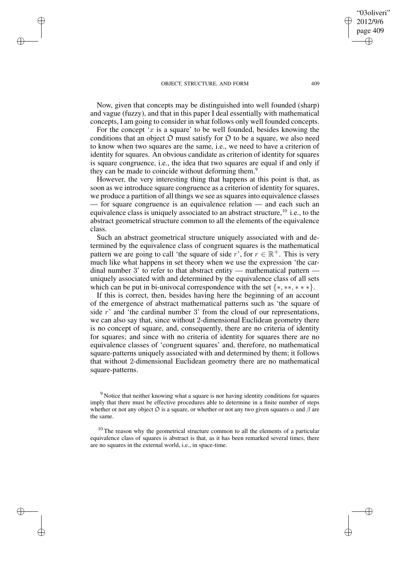$\rightarrow$ 

 $\rightarrow$ 

✐

✐

Now, given that concepts may be distinguished into well founded (sharp) and vague (fuzzy), and that in this paper I deal essentially with mathematical concepts, I am going to consider in what follows only well founded concepts.

For the concept 'x is a square' to be well founded, besides knowing the conditions that an object  $D$  must satisfy for  $D$  to be a square, we also need to know when two squares are the same, i.e., we need to have a criterion of identity for squares. An obvious candidate as criterion of identity for squares is square congruence, i.e., the idea that two squares are equal if and only if they can be made to coincide without deforming them.<sup>9</sup>

However, the very interesting thing that happens at this point is that, as soon as we introduce square congruence as a criterion of identity for squares, we produce a partition of all things we see as squares into equivalence classes — for square congruence is an equivalence relation — and each such an equivalence class is uniquely associated to an abstract structure,  $10$  i.e., to the abstract geometrical structure common to all the elements of the equivalence class.

Such an abstract geometrical structure uniquely associated with and determined by the equivalence class of congruent squares is the mathematical pattern we are going to call 'the square of side r', for  $r \in \mathbb{R}^+$ . This is very much like what happens in set theory when we use the expression 'the cardinal number 3' to refer to that abstract entity — mathematical pattern uniquely associated with and determined by the equivalence class of all sets which can be put in bi-univocal correspondence with the set  $\{*, ** , * * * \}.$ 

If this is correct, then, besides having here the beginning of an account of the emergence of abstract mathematical patterns such as 'the square of side  $r'$  and 'the cardinal number 3' from the cloud of our representations, we can also say that, since without 2-dimensional Euclidean geometry there is no concept of square, and, consequently, there are no criteria of identity for squares; and since with no criteria of identity for squares there are no equivalence classes of 'congruent squares' and, therefore, no mathematical square-patterns uniquely associated with and determined by them; it follows that without 2-dimensional Euclidean geometry there are no mathematical square-patterns.

"03oliveri" 2012/9/6 page 409

✐

✐

✐

<sup>&</sup>lt;sup>9</sup> Notice that neither knowing what a square is nor having identity conditions for squares imply that there must be effective procedures able to determine in a finite number of steps whether or not any object  $\mathfrak D$  is a square, or whether or not any two given squares  $\alpha$  and  $\beta$  are the same.

 $10$  The reason why the geometrical structure common to all the elements of a particular equivalence class of squares is abstract is that, as it has been remarked several times, there are no squares in the external world, i.e., in space-time.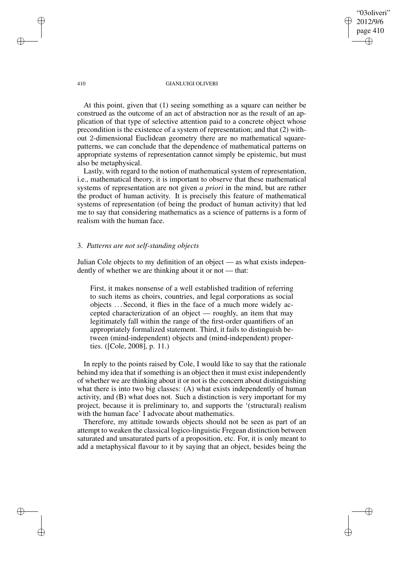"03oliveri" 2012/9/6 page 410 ✐ ✐

✐

✐

### 410 GIANLUIGI OLIVERI

At this point, given that (1) seeing something as a square can neither be construed as the outcome of an act of abstraction nor as the result of an application of that type of selective attention paid to a concrete object whose precondition is the existence of a system of representation; and that (2) without 2-dimensional Euclidean geometry there are no mathematical squarepatterns, we can conclude that the dependence of mathematical patterns on appropriate systems of representation cannot simply be epistemic, but must also be metaphysical.

Lastly, with regard to the notion of mathematical system of representation, i.e., mathematical theory, it is important to observe that these mathematical systems of representation are not given *a priori* in the mind, but are rather the product of human activity. It is precisely this feature of mathematical systems of representation (of being the product of human activity) that led me to say that considering mathematics as a science of patterns is a form of realism with the human face.

# 3. *Patterns are not self-standing objects*

Julian Cole objects to my definition of an object — as what exists independently of whether we are thinking about it or not — that:

First, it makes nonsense of a well established tradition of referring to such items as choirs, countries, and legal corporations as social objects . . . Second, it flies in the face of a much more widely accepted characterization of an object — roughly, an item that may legitimately fall within the range of the first-order quantifiers of an appropriately formalized statement. Third, it fails to distinguish between (mind-independent) objects and (mind-independent) properties. ([Cole, 2008], p. 11.)

In reply to the points raised by Cole, I would like to say that the rationale behind my idea that if something is an object then it must exist independently of whether we are thinking about it or not is the concern about distinguishing what there is into two big classes: (A) what exists independently of human activity, and (B) what does not. Such a distinction is very important for my project, because it is preliminary to, and supports the '(structural) realism with the human face' I advocate about mathematics.

Therefore, my attitude towards objects should not be seen as part of an attempt to weaken the classical logico-linguistic Fregean distinction between saturated and unsaturated parts of a proposition, etc. For, it is only meant to add a metaphysical flavour to it by saying that an object, besides being the

 $\rightarrow$ 

 $\rightarrow$ 

✐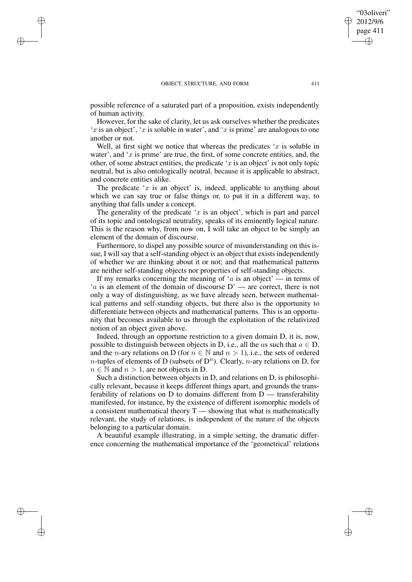$\rightarrow$ 

 $\rightarrow$ 

✐

✐

possible reference of a saturated part of a proposition, exists independently of human activity.

However, for the sake of clarity, let us ask ourselves whether the predicates 'x is an object', 'x is soluble in water', and 'x is prime' are analogous to one another or not.

Well, at first sight we notice that whereas the predicates  $x$  is soluble in water', and ' $x$  is prime' are true, the first, of some concrete entities, and, the other, of some abstract entities, the predicate 'x is an object' is not only topic neutral, but is also ontologically neutral, because it is applicable to abstract, and concrete entities alike.

The predicate  $x$  is an object' is, indeed, applicable to anything about which we can say true or false things or, to put it in a different way, to anything that falls under a concept.

The generality of the predicate ' $x$  is an object', which is part and parcel of its topic and ontological neutrality, speaks of its eminently logical nature. This is the reason why, from now on, I will take an object to be simply an element of the domain of discourse.

Furthermore, to dispel any possible source of misunderstanding on this issue. I will say that a self-standing object is an object that exists independently of whether we are thinking about it or not; and that mathematical patterns are neither self-standing objects nor properties of self-standing objects.

If my remarks concerning the meaning of 'a is an object' — in terms of 'a is an element of the domain of discourse  $D'$  — are correct, there is not only a way of distinguishing, as we have already seen, between mathematical patterns and self-standing objects, but there also is the opportunity to differentiate between objects and mathematical patterns. This is an opportunity that becomes available to us through the exploitation of the relativized notion of an object given above.

Indeed, through an opportune restriction to a given domain D, it is, now, possible to distinguish between objects in D, i.e., all the as such that  $a \in D$ , and the *n*-ary relations on D (for  $n \in \mathbb{N}$  and  $n > 1$ ), i.e., the sets of ordered n-tuples of elements of D (subsets of  $D<sup>n</sup>$ ). Clearly, *n*-ary relations on D, for  $n \in \mathbb{N}$  and  $n > 1$ , are not objects in D.

Such a distinction between objects in D, and relations on D, is philosophically relevant, because it keeps different things apart, and grounds the transferability of relations on  $D$  to domains different from  $D$  — transferability manifested, for instance, by the existence of different isomorphic models of a consistent mathematical theory  $T -$  showing that what is mathematically relevant, the study of relations, is independent of the nature of the objects belonging to a particular domain.

A beautiful example illustrating, in a simple setting, the dramatic difference concerning the mathematical importance of the 'geometrical' relations

"03oliveri" 2012/9/6 page 411

✐

✐

✐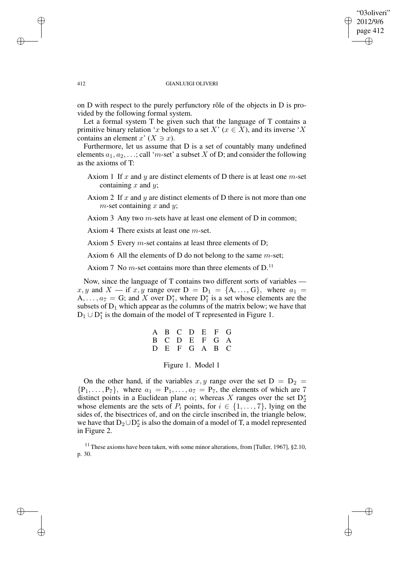✐

✐

### 412 GIANLUIGI OLIVERI

on D with respect to the purely perfunctory rôle of the objects in D is provided by the following formal system.

Let a formal system T be given such that the language of T contains a primitive binary relation 'x belongs to a set X' ( $x \in X$ ), and its inverse 'X contains an element  $x'(X \ni x)$ .

Furthermore, let us assume that D is a set of countably many undefined elements  $a_1, a_2, \ldots$ ; call 'm-set' a subset X of D; and consider the following as the axioms of T:

- Axiom 1 If x and y are distinct elements of D there is at least one  $m$ -set containing  $x$  and  $y$ ;
- Axiom 2 If  $x$  and  $y$  are distinct elements of D there is not more than one  $m$ -set containing x and y;
- Axiom 3 Any two m-sets have at least one element of D in common;
- Axiom 4 There exists at least one m-set.

Axiom 5 Every  $m$ -set contains at least three elements of D;

Axiom 6 All the elements of D do not belong to the same  $m$ -set;

Axiom 7 No  $m$ -set contains more than three elements of  $D$ .<sup>11</sup>

Now, since the language of T contains two different sorts of variables x, y and X — if x, y range over  $D = D_1 = \{A, ..., G\}$ , where  $a_1 =$  $A, \ldots, a_7 = G$ ; and X over  $D_1^*$ , where  $D_1^*$  is a set whose elements are the subsets of  $D_1$  which appear as the columns of the matrix below; we have that  $D_1 \cup D_1^*$  is the domain of the model of T represented in Figure 1.

|  | A B C D E F G |  |  |
|--|---------------|--|--|
|  | B C D E F G A |  |  |
|  | D E F G A B C |  |  |

### Figure 1. Model 1

On the other hand, if the variables x, y range over the set  $D = D_2$  ${P_1, \ldots, P_7}$ , where  $a_1 = P_1, \ldots, a_7 = P_7$ , the elements of which are 7 distinct points in a Euclidean plane  $\alpha$ ; whereas X ranges over the set  $D_2^*$ whose elements are the sets of  $P_i$  points, for  $i \in \{1, \ldots, 7\}$ , lying on the sides of, the bisectrices of, and on the circle inscribed in, the triangle below, we have that  $D_2 \cup D_2^*$  is also the domain of a model of T, a model represented in Figure 2.

 $\rightarrow$ 

 $\rightarrow$ 

✐

<sup>&</sup>lt;sup>11</sup> These axioms have been taken, with some minor alterations, from [Tuller, 1967],  $\S2.10$ , p. 30.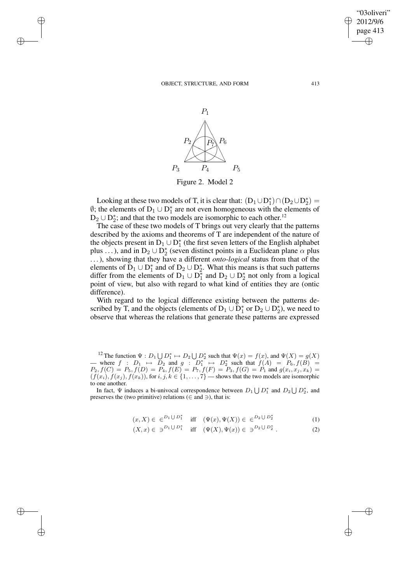$\rightarrow$ 

 $\rightarrow$ 

✐

✐



Looking at these two models of T, it is clear that:  $(D_1 \cup D_1^*) \cap (D_2 \cup D_2^*)$  $\emptyset$ ; the elements of  $D_1 \cup D_1^*$  are not even homogeneous with the elements of  $D_2 \cup D_2^*$ ; and that the two models are isomorphic to each other.<sup>12</sup>

The case of these two models of T brings out very clearly that the patterns described by the axioms and theorems of T are independent of the nature of the objects present in  $D_1 \cup D_1^*$  (the first seven letters of the English alphabet plus ...), and in D<sub>2</sub>  $\cup$  D<sub>2</sub><sup>\*</sup> (seven distinct points in a Euclidean plane  $\alpha$  plus . . .), showing that they have a different *onto-logical* status from that of the elements of  $D_1 \cup D_1^*$  and of  $D_2 \cup D_2^*$ . What this means is that such patterns differ from the elements of  $D_1 \cup D_1^*$  and  $D_2 \cup D_2^*$  not only from a logical point of view, but also with regard to what kind of entities they are (ontic difference).

With regard to the logical difference existing between the patterns described by T, and the objects (elements of  $D_1 \cup D_1^*$  or  $D_2 \cup D_2^*$ ), we need to observe that whereas the relations that generate these patterns are expressed

<sup>12</sup> The function  $\Psi: D_1 \bigcup D_1^* \mapsto D_2 \bigcup D_2^*$  such that  $\Psi(x) = f(x)$ , and  $\Psi(X) = g(X)$ — where  $f : D_1 \mapsto D_2$  and  $g : D_1^* \mapsto D_2^*$  such that  $f(A) = P_6, f(B) =$  $P_2, f(C) = P_5, f(D) = P_4, f(E) = P_7, f(F) = P_3, f(G) = P_1$  and  $g(x_i, x_j, x_k) =$  $(f(x_i), f(x_j), f(x_k))$ , for  $i, j, k \in \{1, ..., 7\}$  — shows that the two models are isomorphic to one another.

In fact,  $\Psi$  induces a bi-univocal correspondence between  $D_1 \bigcup D_1^*$  and  $D_2 \bigcup D_2^*$ , and preserves the (two primitive) relations ( $\in$  and  $\ni$ ), that is:

$$
(x, X) \in \in^{\mathcal{D}_1 \cup \mathcal{D}_1^*} \quad \text{iff} \quad (\Psi(x), \Psi(X)) \in \in^{\mathcal{D}_2 \cup \mathcal{D}_2^*} \tag{1}
$$

$$
(X, x) \in \exists^{D_1 \cup D_1^*}
$$
 iff  $(\Psi(X), \Psi(x)) \in \exists^{D_2 \cup D_2^*}$ . (2)

"03oliveri" 2012/9/6 page 413

✐

✐

✐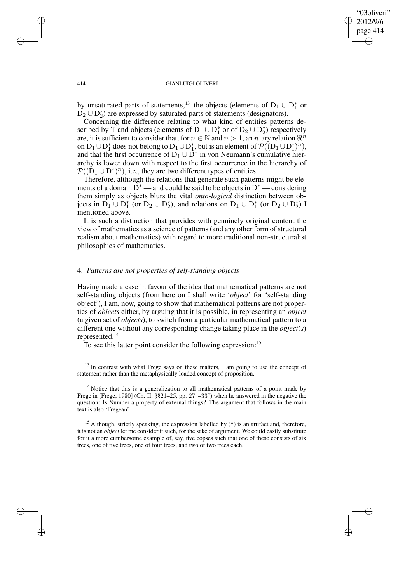"03oliveri" 2012/9/6 page 414 ✐ ✐

✐

✐

### 414 GIANLUIGI OLIVERI

by unsaturated parts of statements,<sup>13</sup> the objects (elements of  $D_1 \cup D_1^*$  or  $D_2 \cup D_2^*$ ) are expressed by saturated parts of statements (designators).

Concerning the difference relating to what kind of entities patterns described by T and objects (elements of  $D_1 \cup D_1^*$  or of  $D_2 \cup D_2^*$ ) respectively are, it is sufficient to consider that, for  $n \in \mathbb{N}$  and  $n > 1$ , an *n*-ary relation  $\Re^n$ on  $D_1 \cup D_1^*$  does not belong to  $D_1 \cup D_1^*$ , but is an element of  $\mathcal{P}((D_1 \cup D_1^*)^n)$ , and that the first occurrence of  $D_1 \cup \overline{D}_1^*$  in von Neumann's cumulative hierarchy is lower down with respect to the first occurrence in the hierarchy of  $\mathcal{P}((D_1 \cup D_1^*)^n)$ , i.e., they are two different types of entities.

Therefore, although the relations that generate such patterns might be elements of a domain  $\overline{D}^*$  — and could be said to be objects in  $D^*$  — considering them simply as objects blurs the vital *onto-logical* distinction between objects in  $D_1 \cup D_1^*$  (or  $D_2 \cup D_2^*$ ), and relations on  $D_1 \cup D_1^*$  (or  $D_2 \cup D_2^*$ ) I mentioned above.

It is such a distinction that provides with genuinely original content the view of mathematics as a science of patterns (and any other form of structural realism about mathematics) with regard to more traditional non-structuralist philosophies of mathematics.

# 4. *Patterns are not properties of self-standing objects*

Having made a case in favour of the idea that mathematical patterns are not self-standing objects (from here on I shall write '*object*' for 'self-standing object'), I am, now, going to show that mathematical patterns are not properties of *objects* either, by arguing that it is possible, in representing an *object* (a given set of *objects*), to switch from a particular mathematical pattern to a different one without any corresponding change taking place in the *object*(*s*) represented.<sup>14</sup>

To see this latter point consider the following expression:<sup>15</sup>

 $13$  In contrast with what Frege says on these matters, I am going to use the concept of statement rather than the metaphysically loaded concept of proposition.

<sup>14</sup> Notice that this is a generalization to all mathematical patterns of a point made by Frege in [Frege, 1980] (Ch. II, §§21–25, pp.  $27^e$ –33 $^e$ ) when he answered in the negative the question: Is Number a property of external things? The argument that follows in the main text is also 'Fregean'.

<sup>15</sup> Although, strictly speaking, the expression labelled by  $(*)$  is an artifact and, therefore, it is not an *object* let me consider it such, for the sake of argument. We could easily substitute for it a more cumbersome example of, say, five copses such that one of these consists of six trees, one of five trees, one of four trees, and two of two trees each.

 $\rightarrow$ 

 $\rightarrow$ 

✐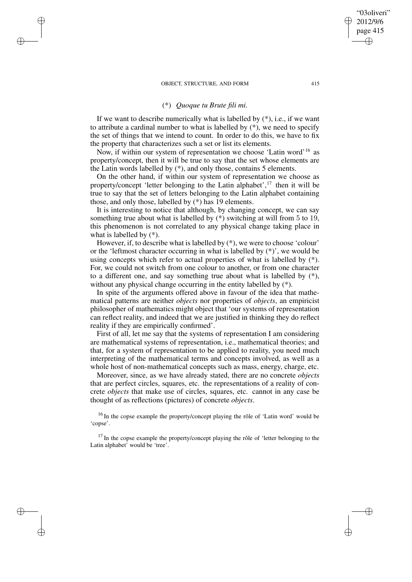$\rightarrow$ 

 $\rightarrow$ 

✐

✐

# (\*) *Quoque tu Brute fili mi*.

If we want to describe numerically what is labelled by  $(*),$  i.e., if we want to attribute a cardinal number to what is labelled by (\*), we need to specify the set of things that we intend to count. In order to do this, we have to fix the property that characterizes such a set or list its elements.

Now, if within our system of representation we choose 'Latin word'<sup>16</sup> as property/concept, then it will be true to say that the set whose elements are the Latin words labelled by (\*), and only those, contains 5 elements.

On the other hand, if within our system of representation we choose as property/concept 'letter belonging to the Latin alphabet', $^{17}$  then it will be true to say that the set of letters belonging to the Latin alphabet containing those, and only those, labelled by (\*) has 19 elements.

It is interesting to notice that although, by changing concept, we can say something true about what is labelled by (\*) switching at will from 5 to 19, this phenomenon is not correlated to any physical change taking place in what is labelled by (\*).

However, if, to describe what is labelled by (\*), we were to choose 'colour' or the 'leftmost character occurring in what is labelled by (\*)', we would be using concepts which refer to actual properties of what is labelled by (\*). For, we could not switch from one colour to another, or from one character to a different one, and say something true about what is labelled by (\*), without any physical change occurring in the entity labelled by  $(*)$ .

In spite of the arguments offered above in favour of the idea that mathematical patterns are neither *objects* nor properties of *objects*, an empiricist philosopher of mathematics might object that 'our systems of representation can reflect reality, and indeed that we are justified in thinking they do reflect reality if they are empirically confirmed'.

First of all, let me say that the systems of representation I am considering are mathematical systems of representation, i.e., mathematical theories; and that, for a system of representation to be applied to reality, you need much interpreting of the mathematical terms and concepts involved, as well as a whole host of non-mathematical concepts such as mass, energy, charge, etc.

Moreover, since, as we have already stated, there are no concrete *objects* that are perfect circles, squares, etc. the representations of a reality of concrete *objects* that make use of circles, squares, etc. cannot in any case be thought of as reflections (pictures) of concrete *objects*.

<sup>16</sup> In the copse example the property/concept playing the rôle of 'Latin word' would be 'copse'.

<sup>17</sup> In the copse example the property/concept playing the rôle of 'letter belonging to the Latin alphabet<sup>7</sup> would be 'tree'.

"03oliveri" 2012/9/6 page 415

✐

✐

✐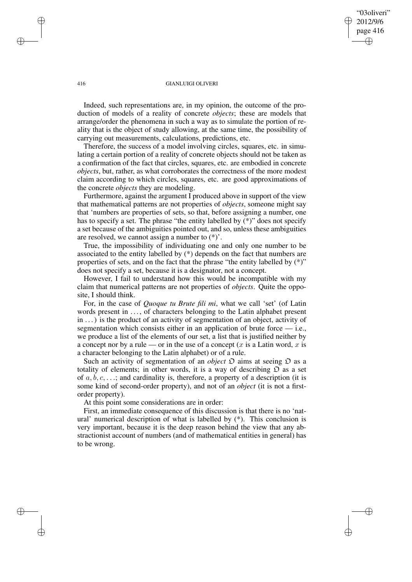### "03oliveri" 2012/9/6 page 416 ✐ ✐

✐

✐

### 416 GIANLUIGI OLIVERI

Indeed, such representations are, in my opinion, the outcome of the production of models of a reality of concrete *objects*; these are models that arrange/order the phenomena in such a way as to simulate the portion of reality that is the object of study allowing, at the same time, the possibility of carrying out measurements, calculations, predictions, etc.

Therefore, the success of a model involving circles, squares, etc. in simulating a certain portion of a reality of concrete objects should not be taken as a confirmation of the fact that circles, squares, etc. are embodied in concrete *objects*, but, rather, as what corroborates the correctness of the more modest claim according to which circles, squares, etc. are good approximations of the concrete *objects* they are modeling.

Furthermore, against the argument I produced above in support of the view that mathematical patterns are not properties of *objects*, someone might say that 'numbers are properties of sets, so that, before assigning a number, one has to specify a set. The phrase "the entity labelled by (\*)" does not specify a set because of the ambiguities pointed out, and so, unless these ambiguities are resolved, we cannot assign a number to (\*)'.

True, the impossibility of individuating one and only one number to be associated to the entity labelled by (\*) depends on the fact that numbers are properties of sets, and on the fact that the phrase "the entity labelled by (\*)" does not specify a set, because it is a designator, not a concept.

However, I fail to understand how this would be incompatible with my claim that numerical patterns are not properties of *objects*. Quite the opposite, I should think.

For, in the case of *Quoque tu Brute fili mi*, what we call 'set' (of Latin words present in ..., of characters belonging to the Latin alphabet present in . . .) is the product of an activity of segmentation of an object, activity of segmentation which consists either in an application of brute force — i.e., we produce a list of the elements of our set, a list that is justified neither by a concept nor by a rule — or in the use of a concept (x is a Latin word, x is a character belonging to the Latin alphabet) or of a rule.

Such an activity of segmentation of an *object*  $D$  aims at seeing  $D$  as a totality of elements; in other words, it is a way of describing  $D$  as a set of  $a, b, c, \ldots$ ; and cardinality is, therefore, a property of a description (it is some kind of second-order property), and not of an *object* (it is not a firstorder property).

At this point some considerations are in order:

First, an immediate consequence of this discussion is that there is no 'natural' numerical description of what is labelled by (\*). This conclusion is very important, because it is the deep reason behind the view that any abstractionist account of numbers (and of mathematical entities in general) has to be wrong.

 $\rightarrow$ 

 $\rightarrow$ 

✐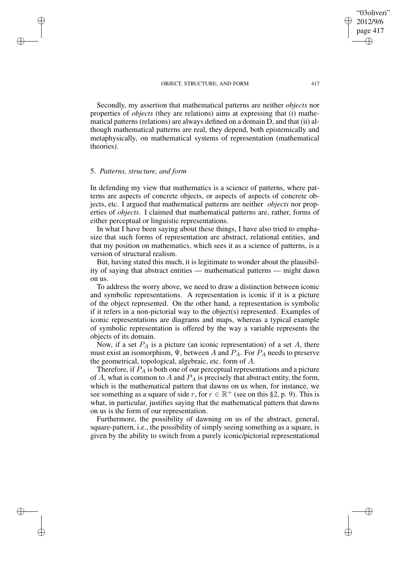Secondly, my assertion that mathematical patterns are neither *objects* nor properties of *objects* (they are relations) aims at expressing that (i) mathematical patterns (relations) are always defined on a domain D, and that (ii) although mathematical patterns are real, they depend, both epistemically and metaphysically, on mathematical systems of representation (mathematical theories).

# 5. *Patterns, structure, and form*

 $\rightarrow$ 

 $\rightarrow$ 

✐

✐

In defending my view that mathematics is a science of patterns, where patterns are aspects of concrete objects, or aspects of aspects of concrete objects, etc. I argued that mathematical patterns are neither *objects* nor properties of *objects*. I claimed that mathematical patterns are, rather, forms of either perceptual or linguistic representations.

In what I have been saying about these things, I have also tried to emphasize that such forms of representation are abstract, relational entities, and that my position on mathematics, which sees it as a science of patterns, is a version of structural realism.

But, having stated this much, it is legitimate to wonder about the plausibility of saying that abstract entities — mathematical patterns — might dawn on us.

To address the worry above, we need to draw a distinction between iconic and symbolic representations. A representation is iconic if it is a picture of the object represented. On the other hand, a representation is symbolic if it refers in a non-pictorial way to the object(s) represented. Examples of iconic representations are diagrams and maps, whereas a typical example of symbolic representation is offered by the way a variable represents the objects of its domain.

Now, if a set  $P_A$  is a picture (an iconic representation) of a set  $A$ , there must exist an isomorphism,  $\Psi$ , between A and  $P_A$ . For  $P_A$  needs to preserve the geometrical, topological, algebraic, etc. form of A.

Therefore, if  $P_A$  is both one of our perceptual representations and a picture of A, what is common to A and  $P_A$  is precisely that abstract entity, the form, which is the mathematical pattern that dawns on us when, for instance, we see something as a square of side r, for  $r \in \mathbb{R}^+$  (see on this §2, p. 9). This is what, in particular, justifies saying that the mathematical pattern that dawns on us is the form of our representation.

Furthermore, the possibility of dawning on us of the abstract, general, square-pattern, i.e., the possibility of simply seeing something as a square, is given by the ability to switch from a purely iconic/pictorial representational

"03oliveri" 2012/9/6 page 417

✐

✐

✐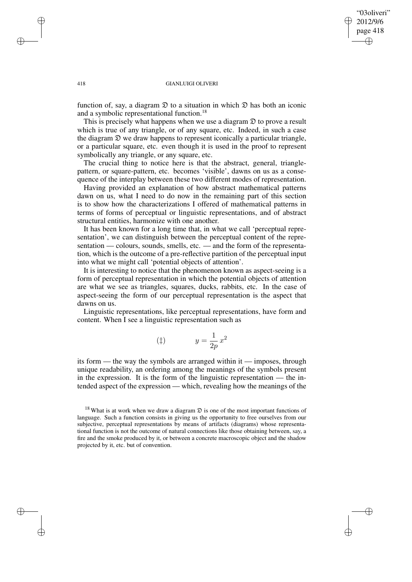### "03oliveri" 2012/9/6 page 418 ✐ ✐

✐

✐

### 418 GIANLUIGI OLIVERI

function of, say, a diagram  $\mathfrak D$  to a situation in which  $\mathfrak D$  has both an iconic and a symbolic representational function.<sup>18</sup>

This is precisely what happens when we use a diagram  $\mathcal D$  to prove a result which is true of any triangle, or of any square, etc. Indeed, in such a case the diagram  $\mathfrak D$  we draw happens to represent iconically a particular triangle, or a particular square, etc. even though it is used in the proof to represent symbolically any triangle, or any square, etc.

The crucial thing to notice here is that the abstract, general, trianglepattern, or square-pattern, etc. becomes 'visible', dawns on us as a consequence of the interplay between these two different modes of representation.

Having provided an explanation of how abstract mathematical patterns dawn on us, what I need to do now in the remaining part of this section is to show how the characterizations I offered of mathematical patterns in terms of forms of perceptual or linguistic representations, and of abstract structural entities, harmonize with one another.

It has been known for a long time that, in what we call 'perceptual representation', we can distinguish between the perceptual content of the representation — colours, sounds, smells, etc. — and the form of the representation, which is the outcome of a pre-reflective partition of the perceptual input into what we might call 'potential objects of attention'.

It is interesting to notice that the phenomenon known as aspect-seeing is a form of perceptual representation in which the potential objects of attention are what we see as triangles, squares, ducks, rabbits, etc. In the case of aspect-seeing the form of our perceptual representation is the aspect that dawns on us.

Linguistic representations, like perceptual representations, have form and content. When I see a linguistic representation such as

$$
(\ddagger) \qquad \qquad y = \frac{1}{2p} x^2
$$

its form — the way the symbols are arranged within it — imposes, through unique readability, an ordering among the meanings of the symbols present in the expression. It is the form of the linguistic representation — the intended aspect of the expression — which, revealing how the meanings of the

 $\rightarrow$ 

 $\rightarrow$ 

✐

<sup>&</sup>lt;sup>18</sup> What is at work when we draw a diagram  $\mathfrak D$  is one of the most important functions of language. Such a function consists in giving us the opportunity to free ourselves from our subjective, perceptual representations by means of artifacts (diagrams) whose representational function is not the outcome of natural connections like those obtaining between, say, a fire and the smoke produced by it, or between a concrete macroscopic object and the shadow projected by it, etc. but of convention.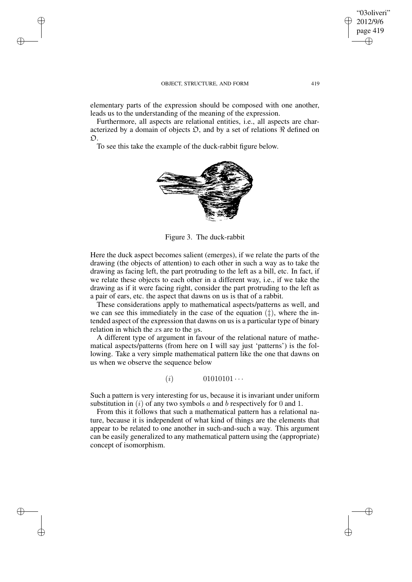elementary parts of the expression should be composed with one another, leads us to the understanding of the meaning of the expression.

Furthermore, all aspects are relational entities, i.e., all aspects are characterized by a domain of objects  $\mathfrak{D}$ , and by a set of relations  $\Re$  defined on  $\mathfrak{O}.$ 

To see this take the example of the duck-rabbit figure below.

 $\rightarrow$ 

 $\rightarrow$ 

✐

✐



Figure 3. The duck-rabbit

Here the duck aspect becomes salient (emerges), if we relate the parts of the drawing (the objects of attention) to each other in such a way as to take the drawing as facing left, the part protruding to the left as a bill, etc. In fact, if we relate these objects to each other in a different way, i.e., if we take the drawing as if it were facing right, consider the part protruding to the left as a pair of ears, etc. the aspect that dawns on us is that of a rabbit.

These considerations apply to mathematical aspects/patterns as well, and we can see this immediately in the case of the equation  $(\ddagger)$ , where the intended aspect of the expression that dawns on us is a particular type of binary relation in which the  $xs$  are to the  $ys$ .

A different type of argument in favour of the relational nature of mathematical aspects/patterns (from here on I will say just 'patterns') is the following. Take a very simple mathematical pattern like the one that dawns on us when we observe the sequence below

(*i*)  $01010101 \cdots$ 

Such a pattern is very interesting for us, because it is invariant under uniform substitution in  $(i)$  of any two symbols a and b respectively for 0 and 1.

From this it follows that such a mathematical pattern has a relational nature, because it is independent of what kind of things are the elements that appear to be related to one another in such-and-such a way. This argument can be easily generalized to any mathematical pattern using the (appropriate) concept of isomorphism.

"03oliveri" 2012/9/6 page 419

✐

✐

✐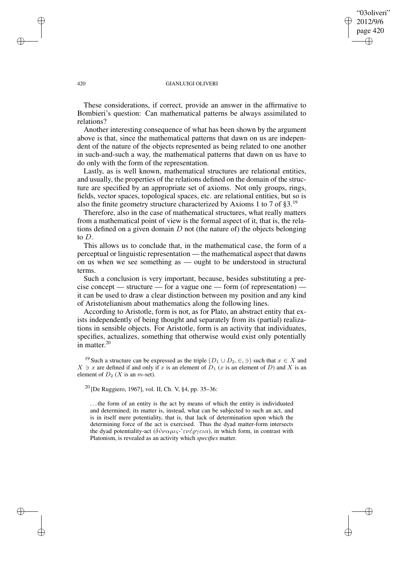#### 420 GIANLUIGI OLIVERI

"03oliveri" 2012/9/6 page 420

✐

✐

✐

✐

These considerations, if correct, provide an answer in the affirmative to Bombieri's question: Can mathematical patterns be always assimilated to relations?

Another interesting consequence of what has been shown by the argument above is that, since the mathematical patterns that dawn on us are independent of the nature of the objects represented as being related to one another in such-and-such a way, the mathematical patterns that dawn on us have to do only with the form of the representation.

Lastly, as is well known, mathematical structures are relational entities, and usually, the properties of the relations defined on the domain of the structure are specified by an appropriate set of axioms. Not only groups, rings, fields, vector spaces, topological spaces, etc. are relational entities, but so is also the finite geometry structure characterized by Axioms 1 to 7 of  $\S 3$ .<sup>19</sup>

Therefore, also in the case of mathematical structures, what really matters from a mathematical point of view is the formal aspect of it, that is, the relations defined on a given domain  $D$  not (the nature of) the objects belonging to D.

This allows us to conclude that, in the mathematical case, the form of a perceptual or linguistic representation — the mathematical aspect that dawns on us when we see something as — ought to be understood in structural terms.

Such a conclusion is very important, because, besides substituting a precise concept — structure — for a vague one — form (of representation) it can be used to draw a clear distinction between my position and any kind of Aristotelianism about mathematics along the following lines.

According to Aristotle, form is not, as for Plato, an abstract entity that exists independently of being thought and separately from its (partial) realizations in sensible objects. For Aristotle, form is an activity that individuates, specifies, actualizes, something that otherwise would exist only potentially in matter. 20

<sup>19</sup> Such a structure can be expressed as the triple  $(D_1 \cup D_2, \in, \ni)$  such that  $x \in X$  and  $X \ni x$  are defined if and only if x is an element of  $D_1$  (x is an element of D) and X is an element of  $D_2$  (X is an *m*-set).

 $20$  [De Ruggiero, 1967], vol. II, Ch. V, §4, pp. 35–36:

. . . the form of an entity is the act by means of which the entity is individuated and determined; its matter is, instead, what can be subjected to such an act, and is in itself mere potentiality, that is, that lack of determination upon which the determining force of the act is exercised. Thus the dyad matter-form intersects the dyad potentiality-act ( $\delta \acute{v} \nu \alpha \mu \varsigma$ -'ενέ $\varrho \gamma \epsilon \iota \alpha$ ), in which form, in contrast with Platonism, is revealed as an activity which *specifies* matter.

 $\rightarrow$ 

 $\rightarrow$ 

✐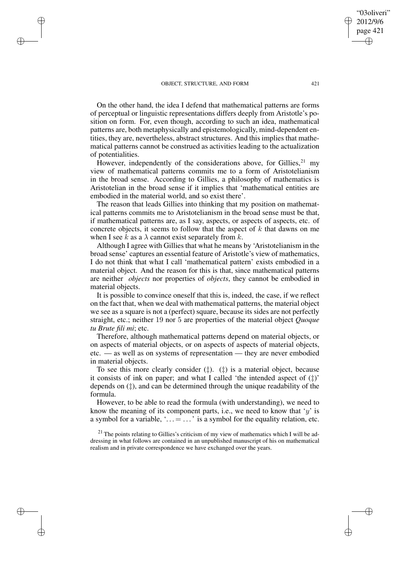$\rightarrow$ 

 $\rightarrow$ 

✐

✐

On the other hand, the idea I defend that mathematical patterns are forms of perceptual or linguistic representations differs deeply from Aristotle's position on form. For, even though, according to such an idea, mathematical patterns are, both metaphysically and epistemologically, mind-dependent entities, they are, nevertheless, abstract structures. And this implies that mathematical patterns cannot be construed as activities leading to the actualization of potentialities.

However, independently of the considerations above, for Gillies,  $21 \text{ my}$ view of mathematical patterns commits me to a form of Aristotelianism in the broad sense. According to Gillies, a philosophy of mathematics is Aristotelian in the broad sense if it implies that 'mathematical entities are embodied in the material world, and so exist there'.

The reason that leads Gillies into thinking that my position on mathematical patterns commits me to Aristotelianism in the broad sense must be that, if mathematical patterns are, as I say, aspects, or aspects of aspects, etc. of concrete objects, it seems to follow that the aspect of  $k$  that dawns on me when I see k as a  $\lambda$  cannot exist separately from k.

Although I agree with Gillies that what he means by 'Aristotelianism in the broad sense' captures an essential feature of Aristotle's view of mathematics, I do not think that what I call 'mathematical pattern' exists embodied in a material object. And the reason for this is that, since mathematical patterns are neither *objects* nor properties of *objects*, they cannot be embodied in material objects.

It is possible to convince oneself that this is, indeed, the case, if we reflect on the fact that, when we deal with mathematical patterns, the material object we see as a square is not a (perfect) square, because its sides are not perfectly straight, etc.; neither 19 nor 5 are properties of the material object *Quoque tu Brute fili mi*; etc.

Therefore, although mathematical patterns depend on material objects, or on aspects of material objects, or on aspects of aspects of material objects, etc. — as well as on systems of representation — they are never embodied in material objects.

To see this more clearly consider  $(t)$ .  $(t)$  is a material object, because it consists of ink on paper; and what I called 'the intended aspect of  $(\pm)$ ' depends on (‡), and can be determined through the unique readability of the formula.

However, to be able to read the formula (with understanding), we need to know the meaning of its component parts, i.e., we need to know that 'y' is a symbol for a variable, ' $\dots = \dots$ ' is a symbol for the equality relation, etc.

 $21$  The points relating to Gillies's criticism of my view of mathematics which I will be addressing in what follows are contained in an unpublished manuscript of his on mathematical realism and in private correspondence we have exchanged over the years.

"03oliveri" 2012/9/6 page 421

✐

✐

✐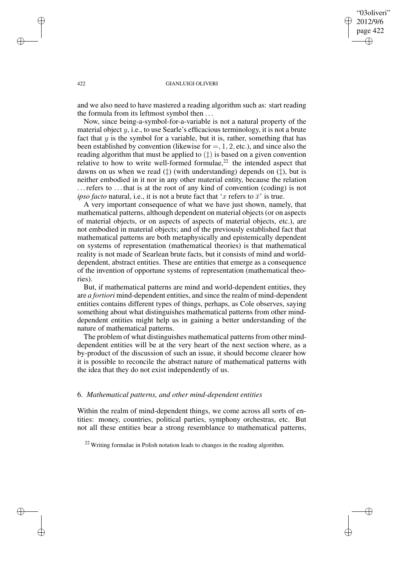### "03oliveri" 2012/9/6 page 422 ✐ ✐

✐

✐

### 422 GIANLUIGI OLIVERI

and we also need to have mastered a reading algorithm such as: start reading the formula from its leftmost symbol then . . .

Now, since being-a-symbol-for-a-variable is not a natural property of the material object  $y$ , i.e., to use Searle's efficacious terminology, it is not a brute fact that  $y$  is the symbol for a variable, but it is, rather, something that has been established by convention (likewise for  $=$ , 1, 2, etc.), and since also the reading algorithm that must be applied to (‡) is based on a given convention relative to how to write well-formed formulae,<sup>22</sup> the intended aspect that dawns on us when we read ( $\ddagger$ ) (with understanding) depends on  $(\ddagger)$ , but is neither embodied in it nor in any other material entity, because the relation . . .refers to . . . that is at the root of any kind of convention (coding) is not *ipso facto* natural, i.e., it is not a brute fact that 'x refers to  $\bar{x}$ ' is true.

A very important consequence of what we have just shown, namely, that mathematical patterns, although dependent on material objects (or on aspects of material objects, or on aspects of aspects of material objects, etc.), are not embodied in material objects; and of the previously established fact that mathematical patterns are both metaphysically and epistemically dependent on systems of representation (mathematical theories) is that mathematical reality is not made of Searlean brute facts, but it consists of mind and worlddependent, abstract entities. These are entities that emerge as a consequence of the invention of opportune systems of representation (mathematical theories).

But, if mathematical patterns are mind and world-dependent entities, they are *a fortiori* mind-dependent entities, and since the realm of mind-dependent entities contains different types of things, perhaps, as Cole observes, saying something about what distinguishes mathematical patterns from other minddependent entities might help us in gaining a better understanding of the nature of mathematical patterns.

The problem of what distinguishes mathematical patterns from other minddependent entities will be at the very heart of the next section where, as a by-product of the discussion of such an issue, it should become clearer how it is possible to reconcile the abstract nature of mathematical patterns with the idea that they do not exist independently of us.

### 6. *Mathematical patterns, and other mind-dependent entities*

Within the realm of mind-dependent things, we come across all sorts of entities: money, countries, political parties, symphony orchestras, etc. But not all these entities bear a strong resemblance to mathematical patterns,

 $22$  Writing formulae in Polish notation leads to changes in the reading algorithm.

 $\rightarrow$ 

 $\rightarrow$ 

✐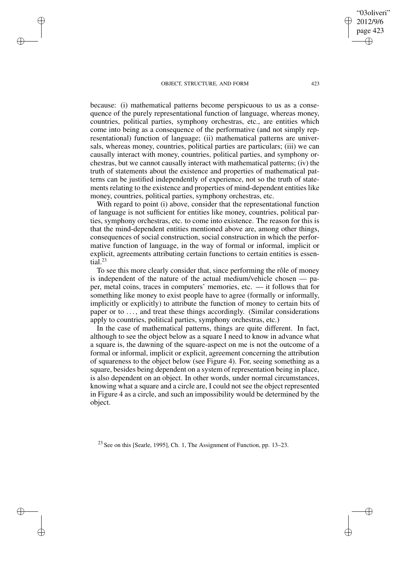$\rightarrow$ 

 $\rightarrow$ 

✐

✐

because: (i) mathematical patterns become perspicuous to us as a consequence of the purely representational function of language, whereas money, countries, political parties, symphony orchestras, etc., are entities which come into being as a consequence of the performative (and not simply representational) function of language; (ii) mathematical patterns are universals, whereas money, countries, political parties are particulars; (iii) we can causally interact with money, countries, political parties, and symphony orchestras, but we cannot causally interact with mathematical patterns; (iv) the truth of statements about the existence and properties of mathematical patterns can be justified independently of experience, not so the truth of statements relating to the existence and properties of mind-dependent entities like money, countries, political parties, symphony orchestras, etc.

With regard to point (i) above, consider that the representational function of language is not sufficient for entities like money, countries, political parties, symphony orchestras, etc. to come into existence. The reason for this is that the mind-dependent entities mentioned above are, among other things, consequences of social construction, social construction in which the performative function of language, in the way of formal or informal, implicit or explicit, agreements attributing certain functions to certain entities is essen- $\overline{\text{tial}}^{23}$ 

To see this more clearly consider that, since performing the rôle of money is independent of the nature of the actual medium/vehicle chosen — paper, metal coins, traces in computers' memories, etc. — it follows that for something like money to exist people have to agree (formally or informally, implicitly or explicitly) to attribute the function of money to certain bits of paper or to . . . , and treat these things accordingly. (Similar considerations apply to countries, political parties, symphony orchestras, etc.)

In the case of mathematical patterns, things are quite different. In fact, although to see the object below as a square I need to know in advance what a square is, the dawning of the square-aspect on me is not the outcome of a formal or informal, implicit or explicit, agreement concerning the attribution of squareness to the object below (see Figure 4). For, seeing something as a square, besides being dependent on a system of representation being in place, is also dependent on an object. In other words, under normal circumstances, knowing what a square and a circle are, I could not see the object represented in Figure 4 as a circle, and such an impossibility would be determined by the object.

<sup>23</sup> See on this [Searle, 1995], Ch. 1, The Assignment of Function, pp. 13–23.

"03oliveri" 2012/9/6 page 423

✐

✐

✐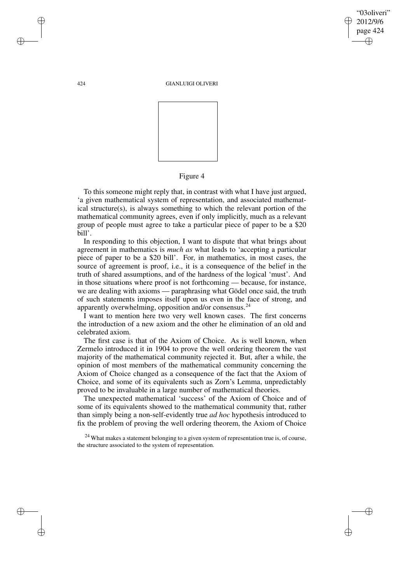"03oliveri" 2012/9/6 page 424 ✐ ✐

✐

✐

### 424 GIANLUIGI OLIVERI



### Figure 4

To this someone might reply that, in contrast with what I have just argued, 'a given mathematical system of representation, and associated mathematical structure(s), is always something to which the relevant portion of the mathematical community agrees, even if only implicitly, much as a relevant group of people must agree to take a particular piece of paper to be a \$20 bill'.

In responding to this objection, I want to dispute that what brings about agreement in mathematics is *much as* what leads to 'accepting a particular piece of paper to be a \$20 bill'. For, in mathematics, in most cases, the source of agreement is proof, i.e., it is a consequence of the belief in the truth of shared assumptions, and of the hardness of the logical 'must'. And in those situations where proof is not forthcoming — because, for instance, we are dealing with axioms — paraphrasing what Gödel once said, the truth of such statements imposes itself upon us even in the face of strong, and apparently overwhelming, opposition and/or consensus.<sup>24</sup>

I want to mention here two very well known cases. The first concerns the introduction of a new axiom and the other he elimination of an old and celebrated axiom.

The first case is that of the Axiom of Choice. As is well known, when Zermelo introduced it in 1904 to prove the well ordering theorem the vast majority of the mathematical community rejected it. But, after a while, the opinion of most members of the mathematical community concerning the Axiom of Choice changed as a consequence of the fact that the Axiom of Choice, and some of its equivalents such as Zorn's Lemma, unpredictably proved to be invaluable in a large number of mathematical theories.

The unexpected mathematical 'success' of the Axiom of Choice and of some of its equivalents showed to the mathematical community that, rather than simply being a non-self-evidently true *ad hoc* hypothesis introduced to fix the problem of proving the well ordering theorem, the Axiom of Choice

 $\rightarrow$ 

 $\rightarrow$ 

✐

<sup>&</sup>lt;sup>24</sup> What makes a statement belonging to a given system of representation true is, of course, the structure associated to the system of representation.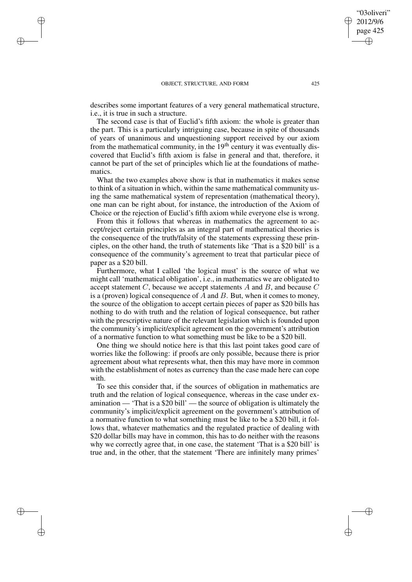$\rightarrow$ 

 $\rightarrow$ 

✐

✐

describes some important features of a very general mathematical structure, i.e., it is true in such a structure.

The second case is that of Euclid's fifth axiom: the whole is greater than the part. This is a particularly intriguing case, because in spite of thousands of years of unanimous and unquestioning support received by our axiom from the mathematical community, in the  $19<sup>th</sup>$  century it was eventually discovered that Euclid's fifth axiom is false in general and that, therefore, it cannot be part of the set of principles which lie at the foundations of mathematics.

What the two examples above show is that in mathematics it makes sense to think of a situation in which, within the same mathematical community using the same mathematical system of representation (mathematical theory), one man can be right about, for instance, the introduction of the Axiom of Choice or the rejection of Euclid's fifth axiom while everyone else is wrong.

From this it follows that whereas in mathematics the agreement to accept/reject certain principles as an integral part of mathematical theories is the consequence of the truth/falsity of the statements expressing these principles, on the other hand, the truth of statements like 'That is a \$20 bill' is a consequence of the community's agreement to treat that particular piece of paper as a \$20 bill.

Furthermore, what I called 'the logical must' is the source of what we might call 'mathematical obligation', i.e., in mathematics we are obligated to accept statement  $C$ , because we accept statements  $A$  and  $B$ , and because  $C$ is a (proven) logical consequence of  $A$  and  $B$ . But, when it comes to money, the source of the obligation to accept certain pieces of paper as \$20 bills has nothing to do with truth and the relation of logical consequence, but rather with the prescriptive nature of the relevant legislation which is founded upon the community's implicit/explicit agreement on the government's attribution of a normative function to what something must be like to be a \$20 bill.

One thing we should notice here is that this last point takes good care of worries like the following: if proofs are only possible, because there is prior agreement about what represents what, then this may have more in common with the establishment of notes as currency than the case made here can cope with.

To see this consider that, if the sources of obligation in mathematics are truth and the relation of logical consequence, whereas in the case under examination — 'That is a \$20 bill' — the source of obligation is ultimately the community's implicit/explicit agreement on the government's attribution of a normative function to what something must be like to be a \$20 bill, it follows that, whatever mathematics and the regulated practice of dealing with \$20 dollar bills may have in common, this has to do neither with the reasons why we correctly agree that, in one case, the statement 'That is a \$20 bill' is true and, in the other, that the statement 'There are infinitely many primes'

"03oliveri" 2012/9/6 page 425

✐

✐

✐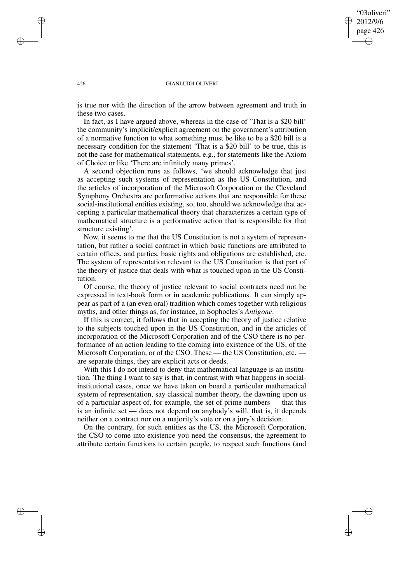### "03oliveri" 2012/9/6 page 426 ✐ ✐

✐

✐

#### 426 GIANLUIGI OLIVERI

is true nor with the direction of the arrow between agreement and truth in these two cases.

In fact, as I have argued above, whereas in the case of 'That is a \$20 bill' the community's implicit/explicit agreement on the government's attribution of a normative function to what something must be like to be a \$20 bill is a necessary condition for the statement 'That is a \$20 bill' to be true, this is not the case for mathematical statements, e.g., for statements like the Axiom of Choice or like 'There are infinitely many primes'.

A second objection runs as follows, 'we should acknowledge that just as accepting such systems of representation as the US Constitution, and the articles of incorporation of the Microsoft Corporation or the Cleveland Symphony Orchestra are performative actions that are responsible for these social-institutional entities existing, so, too, should we acknowledge that accepting a particular mathematical theory that characterizes a certain type of mathematical structure is a performative action that is responsible for that structure existing'.

Now, it seems to me that the US Constitution is not a system of representation, but rather a social contract in which basic functions are attributed to certain offices, and parties, basic rights and obligations are established, etc. The system of representation relevant to the US Constitution is that part of the theory of justice that deals with what is touched upon in the US Constitution.

Of course, the theory of justice relevant to social contracts need not be expressed in text-book form or in academic publications. It can simply appear as part of a (an even oral) tradition which comes together with religious myths, and other things as, for instance, in Sophocles's *Antigone*.

If this is correct, it follows that in accepting the theory of justice relative to the subjects touched upon in the US Constitution, and in the articles of incorporation of the Microsoft Corporation and of the CSO there is no performance of an action leading to the coming into existence of the US, of the Microsoft Corporation, or of the CSO. These — the US Constitution, etc. are separate things, they are explicit acts or deeds.

With this I do not intend to deny that mathematical language is an institution. The thing I want to say is that, in contrast with what happens in socialinstitutional cases, once we have taken on board a particular mathematical system of representation, say classical number theory, the dawning upon us of a particular aspect of, for example, the set of prime numbers — that this is an infinite set — does not depend on anybody's will, that is, it depends neither on a contract nor on a majority's vote or on a jury's decision.

On the contrary, for such entities as the US, the Microsoft Corporation, the CSO to come into existence you need the consensus, the agreement to attribute certain functions to certain people, to respect such functions (and

 $\rightarrow$ 

 $\rightarrow$ 

✐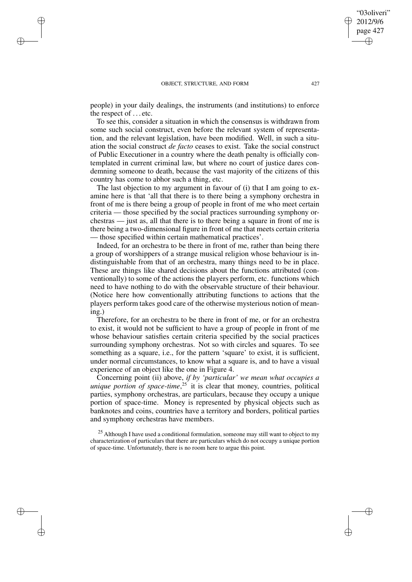$\rightarrow$ 

 $\rightarrow$ 

✐

✐

✐

"03oliveri" 2012/9/6 page 427

✐

✐

people) in your daily dealings, the instruments (and institutions) to enforce the respect of ... etc.

To see this, consider a situation in which the consensus is withdrawn from some such social construct, even before the relevant system of representation, and the relevant legislation, have been modified. Well, in such a situation the social construct *de facto* ceases to exist. Take the social construct of Public Executioner in a country where the death penalty is officially contemplated in current criminal law, but where no court of justice dares condemning someone to death, because the vast majority of the citizens of this country has come to abhor such a thing, etc.

The last objection to my argument in favour of (i) that I am going to examine here is that 'all that there is to there being a symphony orchestra in front of me is there being a group of people in front of me who meet certain criteria — those specified by the social practices surrounding symphony orchestras — just as, all that there is to there being a square in front of me is there being a two-dimensional figure in front of me that meets certain criteria — those specified within certain mathematical practices'.

Indeed, for an orchestra to be there in front of me, rather than being there a group of worshippers of a strange musical religion whose behaviour is indistinguishable from that of an orchestra, many things need to be in place. These are things like shared decisions about the functions attributed (conventionally) to some of the actions the players perform, etc. functions which need to have nothing to do with the observable structure of their behaviour. (Notice here how conventionally attributing functions to actions that the players perform takes good care of the otherwise mysterious notion of meaning.)

Therefore, for an orchestra to be there in front of me, or for an orchestra to exist, it would not be sufficient to have a group of people in front of me whose behaviour satisfies certain criteria specified by the social practices surrounding symphony orchestras. Not so with circles and squares. To see something as a square, i.e., for the pattern 'square' to exist, it is sufficient, under normal circumstances, to know what a square is, and to have a visual experience of an object like the one in Figure 4.

Concerning point (ii) above, *if by 'particular' we mean what occupies a unique portion of space-time*, <sup>25</sup> it is clear that money, countries, political parties, symphony orchestras, are particulars, because they occupy a unique portion of space-time. Money is represented by physical objects such as banknotes and coins, countries have a territory and borders, political parties and symphony orchestras have members.

<sup>&</sup>lt;sup>25</sup> Although I have used a conditional formulation, someone may still want to object to my characterization of particulars that there are particulars which do not occupy a unique portion of space-time. Unfortunately, there is no room here to argue this point.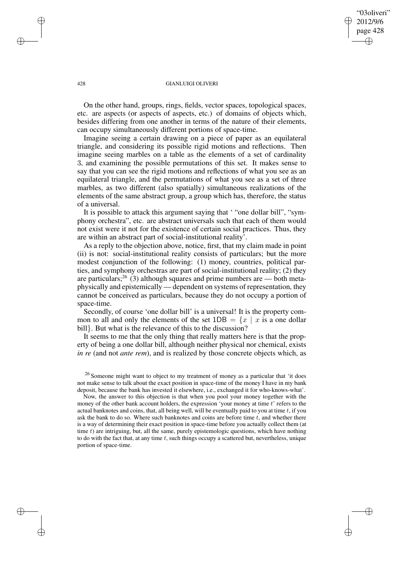### "03oliveri" 2012/9/6 page 428 ✐ ✐

✐

✐

### 428 GIANLUIGI OLIVERI

On the other hand, groups, rings, fields, vector spaces, topological spaces, etc. are aspects (or aspects of aspects, etc.) of domains of objects which, besides differing from one another in terms of the nature of their elements, can occupy simultaneously different portions of space-time.

Imagine seeing a certain drawing on a piece of paper as an equilateral triangle, and considering its possible rigid motions and reflections. Then imagine seeing marbles on a table as the elements of a set of cardinality 3, and examining the possible permutations of this set. It makes sense to say that you can see the rigid motions and reflections of what you see as an equilateral triangle, and the permutations of what you see as a set of three marbles, as two different (also spatially) simultaneous realizations of the elements of the same abstract group, a group which has, therefore, the status of a universal.

It is possible to attack this argument saying that ' "one dollar bill", "symphony orchestra", etc. are abstract universals such that each of them would not exist were it not for the existence of certain social practices. Thus, they are within an abstract part of social-institutional reality'.

As a reply to the objection above, notice, first, that my claim made in point (ii) is not: social-institutional reality consists of particulars; but the more modest conjunction of the following: (1) money, countries, political parties, and symphony orchestras are part of social-institutional reality; (2) they are particulars;<sup>26</sup> (3) although squares and prime numbers are — both metaphysically and epistemically — dependent on systems of representation, they cannot be conceived as particulars, because they do not occupy a portion of space-time.

Secondly, of course 'one dollar bill' is a universal! It is the property common to all and only the elements of the set  $1DB = \{x \mid x$  is a one dollar bill}. But what is the relevance of this to the discussion?

It seems to me that the only thing that really matters here is that the property of being a one dollar bill, although neither physical nor chemical, exists *in re* (and not *ante rem*), and is realized by those concrete objects which, as

 $\rightarrow$ 

 $\rightarrow$ 

✐

<sup>&</sup>lt;sup>26</sup> Someone might want to object to my treatment of money as a particular that 'it does not make sense to talk about the exact position in space-time of the money I have in my bank deposit, because the bank has invested it elsewhere, i.e., exchanged it for who-knows-what'.

Now, the answer to this objection is that when you pool your money together with the money of the other bank account holders, the expression 'your money at time  $t$ ' refers to the actual banknotes and coins, that, all being well, will be eventually paid to you at time  $t$ , if you ask the bank to do so. Where such banknotes and coins are before time  $t$ , and whether there is a way of determining their exact position in space-time before you actually collect them (at time  $t$ ) are intriguing, but, all the same, purely epistemologic questions, which have nothing to do with the fact that, at any time  $t$ , such things occupy a scattered but, nevertheless, unique portion of space-time.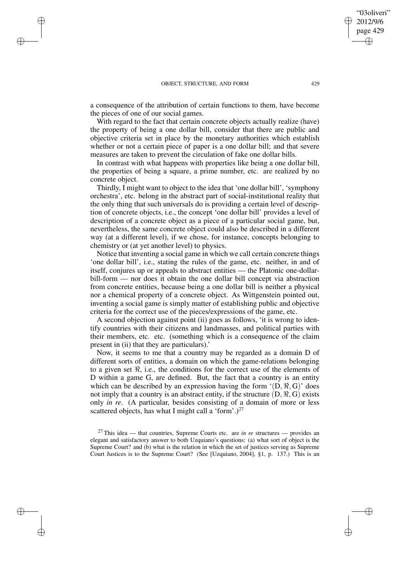$\rightarrow$ 

 $\rightarrow$ 

✐

✐

a consequence of the attribution of certain functions to them, have become the pieces of one of our social games.

With regard to the fact that certain concrete objects actually realize (have) the property of being a one dollar bill, consider that there are public and objective criteria set in place by the monetary authorities which establish whether or not a certain piece of paper is a one dollar bill; and that severe measures are taken to prevent the circulation of fake one dollar bills.

In contrast with what happens with properties like being a one dollar bill, the properties of being a square, a prime number, etc. are realized by no concrete object.

Thirdly, I might want to object to the idea that 'one dollar bill', 'symphony orchestra', etc. belong in the abstract part of social-institutional reality that the only thing that such universals do is providing a certain level of description of concrete objects, i.e., the concept 'one dollar bill' provides a level of description of a concrete object as a piece of a particular social game, but, nevertheless, the same concrete object could also be described in a different way (at a different level), if we chose, for instance, concepts belonging to chemistry or (at yet another level) to physics.

Notice that inventing a social game in which we call certain concrete things 'one dollar bill', i.e., stating the rules of the game, etc. neither, in and of itself, conjures up or appeals to abstract entities — the Platonic one-dollarbill-form — nor does it obtain the one dollar bill concept via abstraction from concrete entities, because being a one dollar bill is neither a physical nor a chemical property of a concrete object. As Wittgenstein pointed out, inventing a social game is simply matter of establishing public and objective criteria for the correct use of the pieces/expressions of the game, etc.

A second objection against point (ii) goes as follows, 'it is wrong to identify countries with their citizens and landmasses, and political parties with their members, etc. etc. (something which is a consequence of the claim present in (ii) that they are particulars).'

Now, it seems to me that a country may be regarded as a domain D of different sorts of entities, a domain on which the game-relations belonging to a given set  $\Re$ , i.e., the conditions for the correct use of the elements of D within a game G, are defined. But, the fact that a country is an entity which can be described by an expression having the form  $(D, \mathcal{R}, G)'$  does not imply that a country is an abstract entity, if the structure  $(D, \mathcal{R}, G)$  exists only *in re*. (A particular, besides consisting of a domain of more or less scattered objects, has what I might call a 'form'.)<sup>27</sup>

"03oliveri" 2012/9/6 page 429

✐

✐

✐

<sup>27</sup> This idea — that countries, Supreme Courts etc. are *in re* structures — provides an elegant and satisfactory answer to both Uzquiano's questions: (a) what sort of object is the Supreme Court? and (b) what is the relation in which the set of justices serving as Supreme Court Justices is to the Supreme Court? (See [Uzquiano, 2004], §1, p. 137.) This is an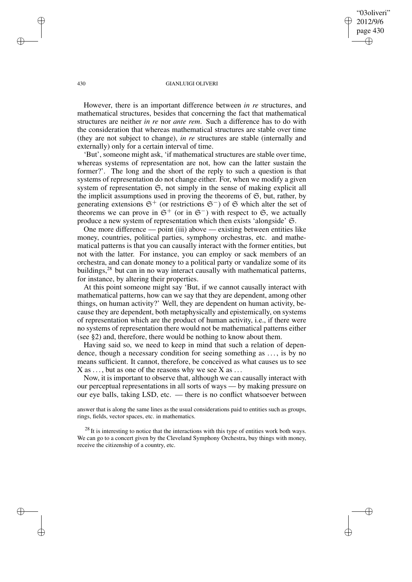"03oliveri" 2012/9/6 page 430 ✐ ✐

✐

✐

### 430 GIANLUIGI OLIVERI

However, there is an important difference between *in re* structures, and mathematical structures, besides that concerning the fact that mathematical structures are neither *in re* nor *ante rem*. Such a difference has to do with the consideration that whereas mathematical structures are stable over time (they are not subject to change), *in re* structures are stable (internally and externally) only for a certain interval of time.

'But', someone might ask, 'if mathematical structures are stable over time, whereas systems of representation are not, how can the latter sustain the former?'. The long and the short of the reply to such a question is that systems of representation do not change either. For, when we modify a given system of representation  $\mathfrak{S}$ , not simply in the sense of making explicit all the implicit assumptions used in proving the theorems of  $\mathfrak{S}$ , but, rather, by generating extensions  $\mathfrak{S}^+$  (or restrictions  $\mathfrak{S}^-$ ) of  $\mathfrak S$  which alter the set of theorems we can prove in  $\mathfrak{S}^+$  (or in  $\mathfrak{S}^-$ ) with respect to  $\mathfrak{S}$ , we actually produce a new system of representation which then exists 'alongside' S.

One more difference — point (iii) above — existing between entities like money, countries, political parties, symphony orchestras, etc. and mathematical patterns is that you can causally interact with the former entities, but not with the latter. For instance, you can employ or sack members of an orchestra, and can donate money to a political party or vandalize some of its buildings,<sup>28</sup> but can in no way interact causally with mathematical patterns, for instance, by altering their properties.

At this point someone might say 'But, if we cannot causally interact with mathematical patterns, how can we say that they are dependent, among other things, on human activity?' Well, they are dependent on human activity, because they are dependent, both metaphysically and epistemically, on systems of representation which are the product of human activity, i.e., if there were no systems of representation there would not be mathematical patterns either (see §2) and, therefore, there would be nothing to know about them.

Having said so, we need to keep in mind that such a relation of dependence, though a necessary condition for seeing something as . . . , is by no means sufficient. It cannot, therefore, be conceived as what causes us to see  $X$  as  $\dots$ , but as one of the reasons why we see  $X$  as  $\dots$ 

Now, it is important to observe that, although we can causally interact with our perceptual representations in all sorts of ways — by making pressure on our eye balls, taking LSD, etc. — there is no conflict whatsoever between

answer that is along the same lines as the usual considerations paid to entities such as groups, rings, fields, vector spaces, etc. in mathematics.

 $28$  It is interesting to notice that the interactions with this type of entities work both ways. We can go to a concert given by the Cleveland Symphony Orchestra, buy things with money, receive the citizenship of a country, etc.

 $\rightarrow$ 

 $\rightarrow$ 

✐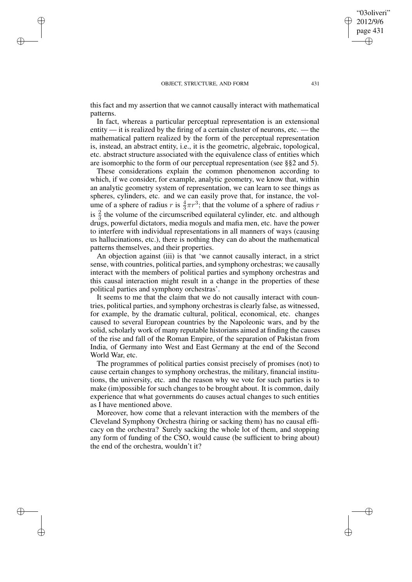$\rightarrow$ 

 $\rightarrow$ 

✐

✐

this fact and my assertion that we cannot causally interact with mathematical patterns.

In fact, whereas a particular perceptual representation is an extensional entity — it is realized by the firing of a certain cluster of neurons, etc. — the mathematical pattern realized by the form of the perceptual representation is, instead, an abstract entity, i.e., it is the geometric, algebraic, topological, etc. abstract structure associated with the equivalence class of entities which are isomorphic to the form of our perceptual representation (see §§2 and 5).

These considerations explain the common phenomenon according to which, if we consider, for example, analytic geometry, we know that, within an analytic geometry system of representation, we can learn to see things as spheres, cylinders, etc. and we can easily prove that, for instance, the volume of a sphere of radius r is  $\frac{4}{3}\pi r^3$ ; that the volume of a sphere of radius r is  $\frac{2}{3}$  the volume of the circumscribed equilateral cylinder, etc. and although drugs, powerful dictators, media moguls and mafia men, etc. have the power to interfere with individual representations in all manners of ways (causing us hallucinations, etc.), there is nothing they can do about the mathematical patterns themselves, and their properties.

An objection against (iii) is that 'we cannot causally interact, in a strict sense, with countries, political parties, and symphony orchestras; we causally interact with the members of political parties and symphony orchestras and this causal interaction might result in a change in the properties of these political parties and symphony orchestras'.

It seems to me that the claim that we do not causally interact with countries, political parties, and symphony orchestras is clearly false, as witnessed, for example, by the dramatic cultural, political, economical, etc. changes caused to several European countries by the Napoleonic wars, and by the solid, scholarly work of many reputable historians aimed at finding the causes of the rise and fall of the Roman Empire, of the separation of Pakistan from India, of Germany into West and East Germany at the end of the Second World War, etc.

The programmes of political parties consist precisely of promises (not) to cause certain changes to symphony orchestras, the military, financial institutions, the university, etc. and the reason why we vote for such parties is to make (im)possible for such changes to be brought about. It is common, daily experience that what governments do causes actual changes to such entities as I have mentioned above.

Moreover, how come that a relevant interaction with the members of the Cleveland Symphony Orchestra (hiring or sacking them) has no causal efficacy on the orchestra? Surely sacking the whole lot of them, and stopping any form of funding of the CSO, would cause (be sufficient to bring about) the end of the orchestra, wouldn't it?

"03oliveri" 2012/9/6 page 431

✐

✐

✐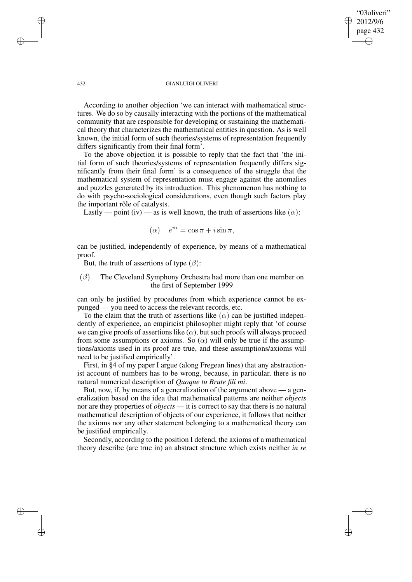# 2012/9/6 page 432 ✐ ✐

✐

✐

"03oliveri"

### 432 GIANLUIGI OLIVERI

According to another objection 'we can interact with mathematical structures. We do so by causally interacting with the portions of the mathematical community that are responsible for developing or sustaining the mathematical theory that characterizes the mathematical entities in question. As is well known, the initial form of such theories/systems of representation frequently differs significantly from their final form'.

To the above objection it is possible to reply that the fact that 'the initial form of such theories/systems of representation frequently differs significantly from their final form' is a consequence of the struggle that the mathematical system of representation must engage against the anomalies and puzzles generated by its introduction. This phenomenon has nothing to do with psycho-sociological considerations, even though such factors play the important rôle of catalysts.

Lastly — point (iv) — as is well known, the truth of assertions like ( $\alpha$ ):

$$
(\alpha) \quad e^{\pi i} = \cos \pi + i \sin \pi,
$$

can be justified, independently of experience, by means of a mathematical proof.

But, the truth of assertions of type  $(\beta)$ :

# $(\beta)$  The Cleveland Symphony Orchestra had more than one member on the first of September 1999

can only be justified by procedures from which experience cannot be expunged — you need to access the relevant records, etc.

To the claim that the truth of assertions like  $(\alpha)$  can be justified independently of experience, an empiricist philosopher might reply that 'of course we can give proofs of assertions like  $(\alpha)$ , but such proofs will always proceed from some assumptions or axioms. So  $(\alpha)$  will only be true if the assumptions/axioms used in its proof are true, and these assumptions/axioms will need to be justified empirically'.

First, in §4 of my paper I argue (along Fregean lines) that any abstractionist account of numbers has to be wrong, because, in particular, there is no natural numerical description of *Quoque tu Brute fili mi*.

But, now, if, by means of a generalization of the argument above — a generalization based on the idea that mathematical patterns are neither *objects* nor are they properties of *objects* — it is correct to say that there is no natural mathematical description of objects of our experience, it follows that neither the axioms nor any other statement belonging to a mathematical theory can be justified empirically.

Secondly, according to the position I defend, the axioms of a mathematical theory describe (are true in) an abstract structure which exists neither *in re*

 $\rightarrow$ 

 $\rightarrow$ 

✐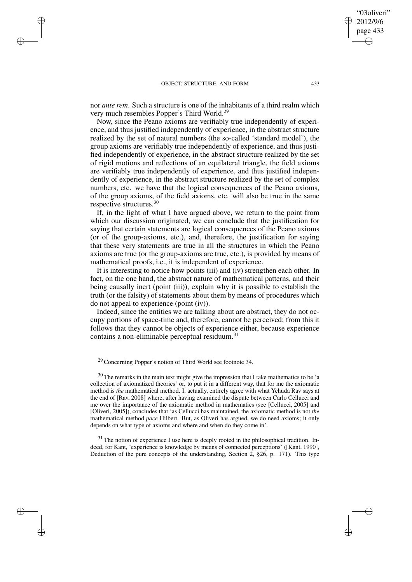$\rightarrow$ 

 $\rightarrow$ 

✐

✐

nor *ante rem*. Such a structure is one of the inhabitants of a third realm which very much resembles Popper's Third World.<sup>29</sup>

Now, since the Peano axioms are verifiably true independently of experience, and thus justified independently of experience, in the abstract structure realized by the set of natural numbers (the so-called 'standard model'), the group axioms are verifiably true independently of experience, and thus justified independently of experience, in the abstract structure realized by the set of rigid motions and reflections of an equilateral triangle, the field axioms are verifiably true independently of experience, and thus justified independently of experience, in the abstract structure realized by the set of complex numbers, etc. we have that the logical consequences of the Peano axioms, of the group axioms, of the field axioms, etc. will also be true in the same respective structures.<sup>30</sup>

If, in the light of what I have argued above, we return to the point from which our discussion originated, we can conclude that the justification for saying that certain statements are logical consequences of the Peano axioms (or of the group-axioms, etc.), and, therefore, the justification for saying that these very statements are true in all the structures in which the Peano axioms are true (or the group-axioms are true, etc.), is provided by means of mathematical proofs, i.e., it is independent of experience.

It is interesting to notice how points (iii) and (iv) strengthen each other. In fact, on the one hand, the abstract nature of mathematical patterns, and their being causally inert (point (iii)), explain why it is possible to establish the truth (or the falsity) of statements about them by means of procedures which do not appeal to experience (point (iv)).

Indeed, since the entities we are talking about are abstract, they do not occupy portions of space-time and, therefore, cannot be perceived; from this it follows that they cannot be objects of experience either, because experience contains a non-eliminable perceptual residuum.<sup>31</sup>

<sup>31</sup> The notion of experience I use here is deeply rooted in the philosophical tradition. Indeed, for Kant, 'experience is knowledge by means of connected perceptions' ([Kant, 1990], Deduction of the pure concepts of the understanding, Section 2, §26, p. 171). This type

"03oliveri" 2012/9/6 page 433

✐

✐

✐

<sup>29</sup> Concerning Popper's notion of Third World see footnote 34.

<sup>&</sup>lt;sup>30</sup> The remarks in the main text might give the impression that I take mathematics to be 'a collection of axiomatized theories' or, to put it in a different way, that for me the axiomatic method is *the* mathematical method. I, actually, entirely agree with what Yehuda Rav says at the end of [Rav, 2008] where, after having examined the dispute between Carlo Cellucci and me over the importance of the axiomatic method in mathematics (see [Cellucci, 2005] and [Oliveri, 2005]), concludes that 'as Cellucci has maintained, the axiomatic method is not *the* mathematical method *pace* Hilbert. But, as Oliveri has argued, we do need axioms; it only depends on what type of axioms and where and when do they come in'.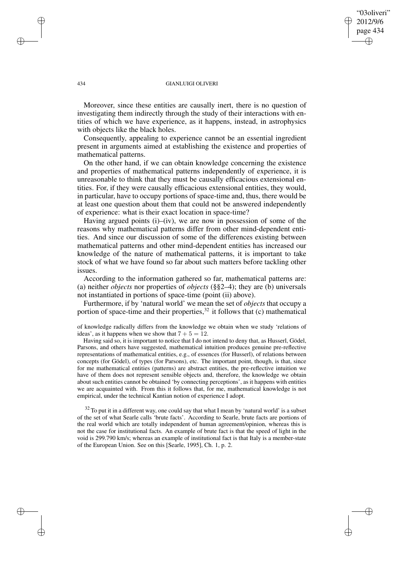### "03oliveri" 2012/9/6 page 434 ✐ ✐

✐

✐

### 434 GIANLUIGI OLIVERI

Moreover, since these entities are causally inert, there is no question of investigating them indirectly through the study of their interactions with entities of which we have experience, as it happens, instead, in astrophysics with objects like the black holes.

Consequently, appealing to experience cannot be an essential ingredient present in arguments aimed at establishing the existence and properties of mathematical patterns.

On the other hand, if we can obtain knowledge concerning the existence and properties of mathematical patterns independently of experience, it is unreasonable to think that they must be causally efficacious extensional entities. For, if they were causally efficacious extensional entities, they would, in particular, have to occupy portions of space-time and, thus, there would be at least one question about them that could not be answered independently of experience: what is their exact location in space-time?

Having argued points  $(i)$ – $(iv)$ , we are now in possession of some of the reasons why mathematical patterns differ from other mind-dependent entities. And since our discussion of some of the differences existing between mathematical patterns and other mind-dependent entities has increased our knowledge of the nature of mathematical patterns, it is important to take stock of what we have found so far about such matters before tackling other issues.

According to the information gathered so far, mathematical patterns are: (a) neither *objects* nor properties of *objects* (§§2–4); they are (b) universals not instantiated in portions of space-time (point (ii) above).

Furthermore, if by 'natural world' we mean the set of *objects* that occupy a portion of space-time and their properties,  $32$  it follows that (c) mathematical

of knowledge radically differs from the knowledge we obtain when we study 'relations of ideas', as it happens when we show that  $7 + 5 = 12$ .

Having said so, it is important to notice that I do not intend to deny that, as Husserl, Gödel, Parsons, and others have suggested, mathematical intuition produces genuine pre-reflective representations of mathematical entities, e.g., of essences (for Husserl), of relations between concepts (for Gödel), of types (for Parsons), etc. The important point, though, is that, since for me mathematical entities (patterns) are abstract entities, the pre-reflective intuition we have of them does not represent sensible objects and, therefore, the knowledge we obtain about such entities cannot be obtained 'by connecting perceptions', as it happens with entities we are acquainted with. From this it follows that, for me, mathematical knowledge is not empirical, under the technical Kantian notion of experience I adopt.

 $32$  To put it in a different way, one could say that what I mean by 'natural world' is a subset of the set of what Searle calls 'brute facts'. According to Searle, brute facts are portions of the real world which are totally independent of human agreement/opinion, whereas this is not the case for institutional facts. An example of brute fact is that the speed of light in the void is 299.790 km/s; whereas an example of institutional fact is that Italy is a member-state of the European Union. See on this [Searle, 1995], Ch. 1, p. 2.

 $\rightarrow$ 

 $\rightarrow$ 

✐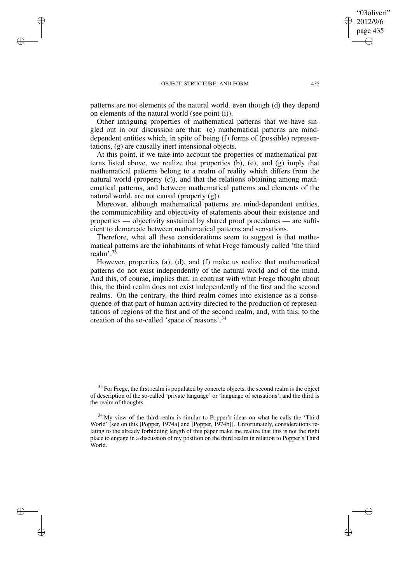$\rightarrow$ 

 $\rightarrow$ 

✐

✐

patterns are not elements of the natural world, even though (d) they depend on elements of the natural world (see point (i)).

Other intriguing properties of mathematical patterns that we have singled out in our discussion are that: (e) mathematical patterns are minddependent entities which, in spite of being (f) forms of (possible) representations, (g) are causally inert intensional objects.

At this point, if we take into account the properties of mathematical patterns listed above, we realize that properties (b), (c), and (g) imply that mathematical patterns belong to a realm of reality which differs from the natural world (property (c)), and that the relations obtaining among mathematical patterns, and between mathematical patterns and elements of the natural world, are not causal (property (g)).

Moreover, although mathematical patterns are mind-dependent entities, the communicability and objectivity of statements about their existence and properties — objectivity sustained by shared proof procedures — are sufficient to demarcate between mathematical patterns and sensations.

Therefore, what all these considerations seem to suggest is that mathematical patterns are the inhabitants of what Frege famously called 'the third realm'.<sup>33</sup>

However, properties (a), (d), and (f) make us realize that mathematical patterns do not exist independently of the natural world and of the mind. And this, of course, implies that, in contrast with what Frege thought about this, the third realm does not exist independently of the first and the second realms. On the contrary, the third realm comes into existence as a consequence of that part of human activity directed to the production of representations of regions of the first and of the second realm, and, with this, to the creation of the so-called 'space of reasons'.<sup>34</sup>

"03oliveri" 2012/9/6 page 435

✐

✐

✐

 $33$  For Frege, the first realm is populated by concrete objects, the second realm is the object of description of the so-called 'private language' or 'language of sensations', and the third is the realm of thoughts.

 $34$  My view of the third realm is similar to Popper's ideas on what he calls the 'Third World' (see on this [Popper, 1974a] and [Popper, 1974b]). Unfortunately, considerations relating to the already forbidding length of this paper make me realize that this is not the right place to engage in a discussion of my position on the third realm in relation to Popper's Third World.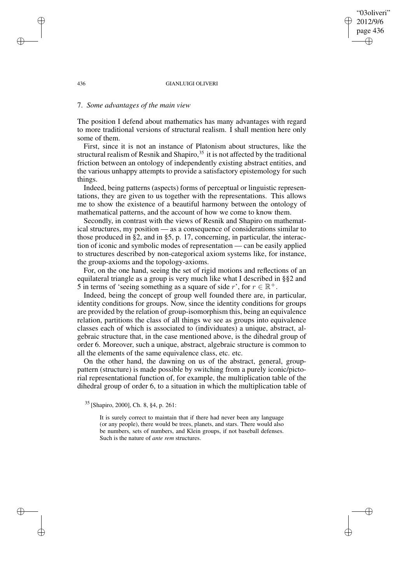#### 436 GIANLUIGI OLIVERI

"03oliveri" 2012/9/6 page 436

✐

✐

✐

✐

# 7. *Some advantages of the main view*

The position I defend about mathematics has many advantages with regard to more traditional versions of structural realism. I shall mention here only some of them.

First, since it is not an instance of Platonism about structures, like the structural realism of Resnik and Shapiro,<sup>35</sup> it is not affected by the traditional friction between an ontology of independently existing abstract entities, and the various unhappy attempts to provide a satisfactory epistemology for such things.

Indeed, being patterns (aspects) forms of perceptual or linguistic representations, they are given to us together with the representations. This allows me to show the existence of a beautiful harmony between the ontology of mathematical patterns, and the account of how we come to know them.

Secondly, in contrast with the views of Resnik and Shapiro on mathematical structures, my position — as a consequence of considerations similar to those produced in §2, and in §5, p. 17, concerning, in particular, the interaction of iconic and symbolic modes of representation — can be easily applied to structures described by non-categorical axiom systems like, for instance, the group-axioms and the topology-axioms.

For, on the one hand, seeing the set of rigid motions and reflections of an equilateral triangle as a group is very much like what I described in §§2 and 5 in terms of 'seeing something as a square of side r', for  $r \in \mathbb{R}^+$ .

Indeed, being the concept of group well founded there are, in particular, identity conditions for groups. Now, since the identity conditions for groups are provided by the relation of group-isomorphism this, being an equivalence relation, partitions the class of all things we see as groups into equivalence classes each of which is associated to (individuates) a unique, abstract, algebraic structure that, in the case mentioned above, is the dihedral group of order 6. Moreover, such a unique, abstract, algebraic structure is common to all the elements of the same equivalence class, etc. etc.

On the other hand, the dawning on us of the abstract, general, grouppattern (structure) is made possible by switching from a purely iconic/pictorial representational function of, for example, the multiplication table of the dihedral group of order 6, to a situation in which the multiplication table of

 $\rightarrow$ 

 $\rightarrow$ 

✐

<sup>35</sup> [Shapiro, 2000], Ch. 8, §4, p. 261:

It is surely correct to maintain that if there had never been any language (or any people), there would be trees, planets, and stars. There would also be numbers, sets of numbers, and Klein groups, if not baseball defenses. Such is the nature of *ante rem* structures.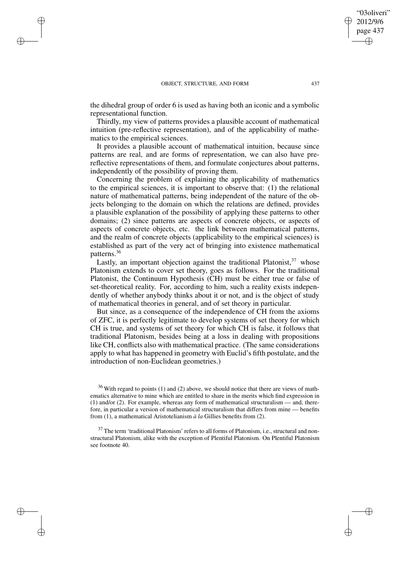$\rightarrow$ 

 $\rightarrow$ 

✐

✐

the dihedral group of order 6 is used as having both an iconic and a symbolic representational function.

Thirdly, my view of patterns provides a plausible account of mathematical intuition (pre-reflective representation), and of the applicability of mathematics to the empirical sciences.

It provides a plausible account of mathematical intuition, because since patterns are real, and are forms of representation, we can also have prereflective representations of them, and formulate conjectures about patterns, independently of the possibility of proving them.

Concerning the problem of explaining the applicability of mathematics to the empirical sciences, it is important to observe that: (1) the relational nature of mathematical patterns, being independent of the nature of the objects belonging to the domain on which the relations are defined, provides a plausible explanation of the possibility of applying these patterns to other domains; (2) since patterns are aspects of concrete objects, or aspects of aspects of concrete objects, etc. the link between mathematical patterns, and the realm of concrete objects (applicability to the empirical sciences) is established as part of the very act of bringing into existence mathematical patterns.<sup>36</sup>

Lastly, an important objection against the traditional Platonist,  $37$  whose Platonism extends to cover set theory, goes as follows. For the traditional Platonist, the Continuum Hypothesis (CH) must be either true or false of set-theoretical reality. For, according to him, such a reality exists independently of whether anybody thinks about it or not, and is the object of study of mathematical theories in general, and of set theory in particular.

But since, as a consequence of the independence of CH from the axioms of ZFC, it is perfectly legitimate to develop systems of set theory for which CH is true, and systems of set theory for which CH is false, it follows that traditional Platonism, besides being at a loss in dealing with propositions like CH, conflicts also with mathematical practice. (The same considerations apply to what has happened in geometry with Euclid's fifth postulate, and the introduction of non-Euclidean geometries.)

 $36$  With regard to points (1) and (2) above, we should notice that there are views of mathematics alternative to mine which are entitled to share in the merits which find expression in (1) and/or (2). For example, whereas any form of mathematical structuralism — and, therefore, in particular a version of mathematical structuralism that differs from mine — benefits from (1), a mathematical Aristotelianism *à la* Gillies benefits from (2).

 $37$  The term 'traditional Platonism' refers to all forms of Platonism, i.e., structural and nonstructural Platonism, alike with the exception of Plentiful Platonism. On Plentiful Platonism see footnote 40.

"03oliveri" 2012/9/6 page 437

✐

✐

✐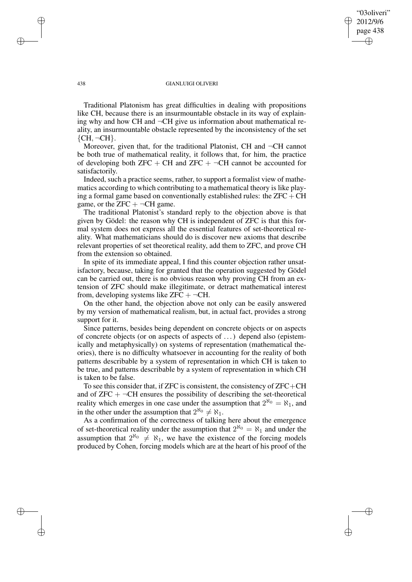# "03oliveri" 2012/9/6 page 438 ✐ ✐

✐

✐

### 438 GIANLUIGI OLIVERI

Traditional Platonism has great difficulties in dealing with propositions like CH, because there is an insurmountable obstacle in its way of explaining why and how CH and  $\neg$ CH give us information about mathematical reality, an insurmountable obstacle represented by the inconsistency of the set  ${CH, \neg CH}.$ 

Moreover, given that, for the traditional Platonist, CH and ¬CH cannot be both true of mathematical reality, it follows that, for him, the practice of developing both  $ZFC + CH$  and  $ZFC + \neg CH$  cannot be accounted for satisfactorily.

Indeed, such a practice seems, rather, to support a formalist view of mathematics according to which contributing to a mathematical theory is like playing a formal game based on conventionally established rules: the  $ZFC + CH$ game, or the ZFC  $+ \neg CH$  game.

The traditional Platonist's standard reply to the objection above is that given by Gödel: the reason why CH is independent of ZFC is that this formal system does not express all the essential features of set-theoretical reality. What mathematicians should do is discover new axioms that describe relevant properties of set theoretical reality, add them to ZFC, and prove CH from the extension so obtained.

In spite of its immediate appeal, I find this counter objection rather unsatisfactory, because, taking for granted that the operation suggested by Gödel can be carried out, there is no obvious reason why proving CH from an extension of ZFC should make illegitimate, or detract mathematical interest from, developing systems like  $ZFC + \neg CH$ .

On the other hand, the objection above not only can be easily answered by my version of mathematical realism, but, in actual fact, provides a strong support for it.

Since patterns, besides being dependent on concrete objects or on aspects of concrete objects (or on aspects of aspects of . . .) depend also (epistemically and metaphysically) on systems of representation (mathematical theories), there is no difficulty whatsoever in accounting for the reality of both patterns describable by a system of representation in which CH is taken to be true, and patterns describable by a system of representation in which CH is taken to be false.

To see this consider that, if ZFC is consistent, the consistency of  $ZFC + CH$ and of  $ZFC + \neg CH$  ensures the possibility of describing the set-theoretical reality which emerges in one case under the assumption that  $2^{\aleph_0} = \aleph_1$ , and in the other under the assumption that  $2^{\aleph_0} \neq \aleph_1$ .

As a confirmation of the correctness of talking here about the emergence of set-theoretical reality under the assumption that  $2^{\aleph_0} = \aleph_1$  and under the assumption that  $2^{\aleph_0} \neq \aleph_1$ , we have the existence of the forcing models produced by Cohen, forcing models which are at the heart of his proof of the

 $\rightarrow$ 

 $\rightarrow$ 

✐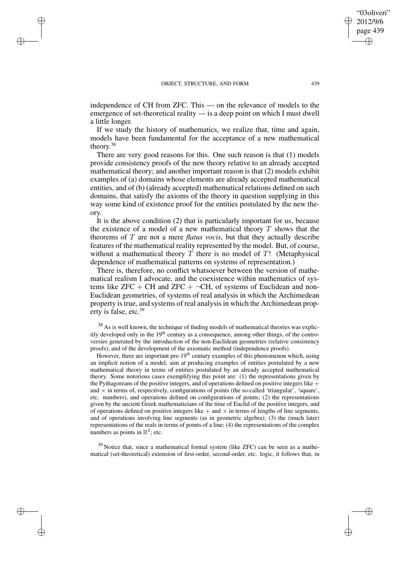$\rightarrow$ 

 $\rightarrow$ 

✐

✐

independence of CH from ZFC. This — on the relevance of models to the emergence of set-theoretical reality — is a deep point on which I must dwell a little longer.

If we study the history of mathematics, we realize that, time and again, models have been fundamental for the acceptance of a new mathematical theory. 38

There are very good reasons for this. One such reason is that (1) models provide consistency proofs of the new theory relative to an already accepted mathematical theory; and another important reason is that (2) models exhibit examples of (a) domains whose elements are already accepted mathematical entities, and of (b) (already accepted) mathematical relations defined on such domains, that satisfy the axioms of the theory in question supplying in this way some kind of existence proof for the entities postulated by the new theory.

It is the above condition (2) that is particularly important for us, because the existence of a model of a new mathematical theory  $T$  shows that the theorems of T are not a mere *flatus vocis*, but that they actually describe features of the mathematical reality represented by the model. But, of course, without a mathematical theory T there is no model of  $T!$  (Metaphysical dependence of mathematical patterns on systems of representation.)

There is, therefore, no conflict whatsoever between the version of mathematical realism I advocate, and the coexistence within mathematics of systems like  $ZFC + CH$  and  $ZFC + \neg CH$ , of systems of Euclidean and non-Euclidean geometries, of systems of real analysis in which the Archimedean property is true, and systems of real analysis in which the Archimedean property is false, etc.<sup>39</sup>

<sup>38</sup> As is well known, the technique of finding models of mathematical theories was explicitly developed only in the  $19<sup>th</sup>$  century as a consequence, among other things, of the controversies generated by the introduction of the non-Euclidean geometries (relative consistency proofs), and of the development of the axiomatic method (independence proofs).

However, there are important pre- $19<sup>th</sup>$  century examples of this phenomenon which, using an implicit notion of a model, aim at producing examples of entities postulated by a new mathematical theory in terms of entities postulated by an already accepted mathematical theory. Some notorious cases exemplifying this point are: (1) the representations given by the Pythagoreans of the positive integers, and of operations defined on positive integers like + and  $\times$  in terms of, respectively, configurations of points (the so-called 'triangular', 'square', etc. numbers), and operations defined on configurations of points; (2) the representations given by the ancient Greek mathematicians of the time of Euclid of the positive integers, and of operations defined on positive integers like  $+$  and  $\times$  in terms of lengths of line segments, and of operations involving line segments (as in geometric algebra); (3) the (much later) representations of the reals in terms of points of a line; (4) the representations of the complex numbers as points in  $\mathbb{R}^2$ ; etc.

 $39$  Notice that, since a mathematical formal system (like ZFC) can be seen as a mathematical (set-theoretical) extension of first-order, second-order, etc. logic, it follows that, in

"03oliveri" 2012/9/6 page 439

✐

✐

✐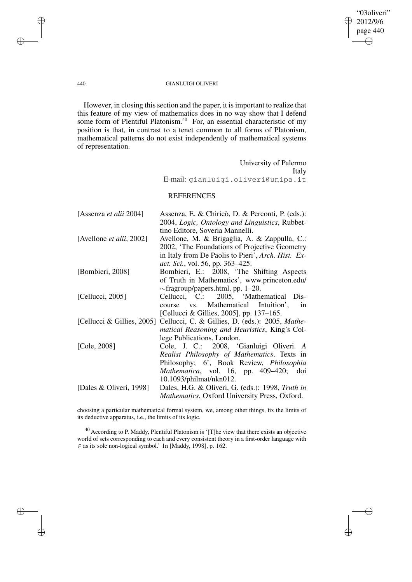$\bigoplus$ 

✐

### 440 GIANLUIGI OLIVERI

However, in closing this section and the paper, it is important to realize that this feature of my view of mathematics does in no way show that I defend some form of Plentiful Platonism.<sup>40</sup> For, an essential characteristic of my position is that, in contrast to a tenet common to all forms of Platonism, mathematical patterns do not exist independently of mathematical systems of representation.

| University of Palermo              |
|------------------------------------|
| Italy                              |
| E-mail: gianluigi.oliveri@unipa.it |

# **REFERENCES**

| [Assenza et alii 2004]           | Assenza, E. & Chiricò, D. & Perconti, P. (eds.):      |
|----------------------------------|-------------------------------------------------------|
|                                  | 2004, Logic, Ontology and Linguistics, Rubbet-        |
|                                  | tino Editore, Soveria Mannelli.                       |
| [Avellone <i>et alii</i> , 2002] | Avellone, M. & Brigaglia, A. & Zappulla, C.:          |
|                                  | 2002, 'The Foundations of Projective Geometry         |
|                                  | in Italy from De Paolis to Pieri', Arch. Hist. Ex-    |
|                                  | <i>act. Sci.</i> , vol. 56, pp. 363–425.              |
| [Bombieri, 2008]                 | Bombieri, E.: 2008, 'The Shifting Aspects             |
|                                  | of Truth in Mathematics', www.princeton.edu/          |
|                                  | $\sim$ fragroup/papers.html, pp. 1–20.                |
| [Cellucci, $2005$ ]              | Cellucci, C.: 2005, 'Mathematical Dis-                |
|                                  | course vs. Mathematical Intuition',<br>in             |
|                                  | [Cellucci & Gillies, 2005], pp. 137–165.              |
| [Cellucci $&$ Gillies, 2005]     | Cellucci, C. & Gillies, D. (eds.): 2005, Mathe-       |
|                                  | matical Reasoning and Heuristics, King's Col-         |
|                                  | lege Publications, London.                            |
| [Cole, 2008]                     | Cole, J. C.: 2008, 'Gianluigi Oliveri. A              |
|                                  | Realist Philosophy of Mathematics. Texts in           |
|                                  | Philosophy; 6', Book Review, Philosophia              |
|                                  | Mathematica, vol. 16, pp. 409-420; doi                |
|                                  | 10.1093/philmat/nkn012.                               |
| [Dales & Oliveri, 1998]          | Dales, H.G. & Oliveri, G. (eds.): 1998, Truth in      |
|                                  | <i>Mathematics</i> , Oxford University Press, Oxford. |

choosing a particular mathematical formal system, we, among other things, fix the limits of its deductive apparatus, i.e., the limits of its logic.

<sup>40</sup> According to P. Maddy, Plentiful Platonism is '[T]he view that there exists an objective world of sets corresponding to each and every consistent theory in a first-order language with ∈ as its sole non-logical symbol.' 1n [Maddy, 1998], p. 162.

 $\rightarrow$ 

 $\rightarrow$ 

✐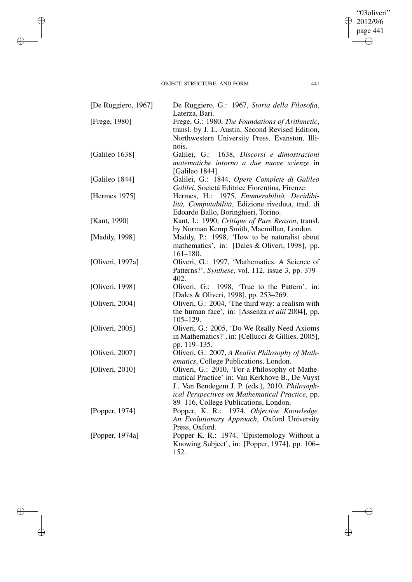$\bigoplus$ 

 $\bigoplus$ 

 $\bigoplus$ 

 $\bigoplus$ 

| [De Ruggiero, 1967] | De Ruggiero, G.: 1967, Storia della Filosofia,<br>Laterza, Bari.                                                                                                                                                                                 |
|---------------------|--------------------------------------------------------------------------------------------------------------------------------------------------------------------------------------------------------------------------------------------------|
| [Frege, 1980]       | Frege, G.: 1980, The Foundations of Arithmetic,<br>transl. by J. L. Austin, Second Revised Edition,<br>Northwestern University Press, Evanston, Illi-                                                                                            |
| [Galileo 1638]      | nois.<br>Galilei, G.: 1638, Discorsi e dimostrazioni<br>matematiche intorno a due nuove scienze in<br>[Galileo 1844].                                                                                                                            |
| [Galileo 1844]      | Galilei, G.: 1844, Opere Complete di Galileo<br>Galilei, Societá Editrice Fiorentina, Firenze.                                                                                                                                                   |
| [Hermes 1975]       | Hermes, H.: 1975, Enumerabilità, Decidibi-<br>lità, Computabilità, Edizione riveduta, trad. di<br>Edoardo Ballo, Boringhieri, Torino.                                                                                                            |
| [Kant, 1990]        | Kant, I.: 1990, Critique of Pure Reason, transl.<br>by Norman Kemp Smith, Macmillan, London.                                                                                                                                                     |
| [Maddy, 1998]       | Maddy, P.: 1998, 'How to be naturalist about<br>mathematics', in: [Dales & Oliveri, 1998], pp.<br>$161 - 180.$                                                                                                                                   |
| [Oliveri, 1997a]    | Oliveri, G.: 1997, 'Mathematics. A Science of<br>Patterns?', Synthese, vol. 112, issue 3, pp. 379-<br>402.                                                                                                                                       |
| [Oliveri, 1998]     | Oliveri, G.: 1998, 'True to the Pattern', in:<br>[Dales & Oliveri, 1998], pp. 253-269.                                                                                                                                                           |
| [Oliveri, 2004]     | Oliveri, G.: 2004, 'The third way: a realism with<br>the human face', in: [Assenza <i>et alii</i> 2004], pp.<br>$105 - 129.$                                                                                                                     |
| [Oliveri, 2005]     | Oliveri, G.: 2005, 'Do We Really Need Axioms<br>in Mathematics?', in: [Cellucci & Gillies, 2005],<br>pp. 119-135.                                                                                                                                |
| [Oliveri, 2007]     | Oliveri, G.: 2007, A Realist Philosophy of Math-<br>ematics, College Publications, London.                                                                                                                                                       |
| [Oliveri, 2010]     | Oliveri, G.: 2010, 'For a Philosophy of Mathe-<br>matical Practice' in: Van Kerkhove B., De Vuyst<br>J., Van Bendegem J. P. (eds.), 2010, Philosoph-<br>ical Perspectives on Mathematical Practice, pp.<br>89–116, College Publications, London. |
| [Popper, 1974]      | Popper, K. R.: 1974, Objective Knowledge.<br>An Evolutionary Approach, Oxford University<br>Press, Oxford.                                                                                                                                       |
| [Popper, 1974a]     | Popper K. R.: 1974, 'Epistemology Without a<br>Knowing Subject', in: [Popper, 1974], pp. 106–<br>152.                                                                                                                                            |

"03oliveri"  $\bigcirc$  2012/9/6 page 441

 $\bigoplus$ 

 $\bigoplus$ 

 $\bigoplus$